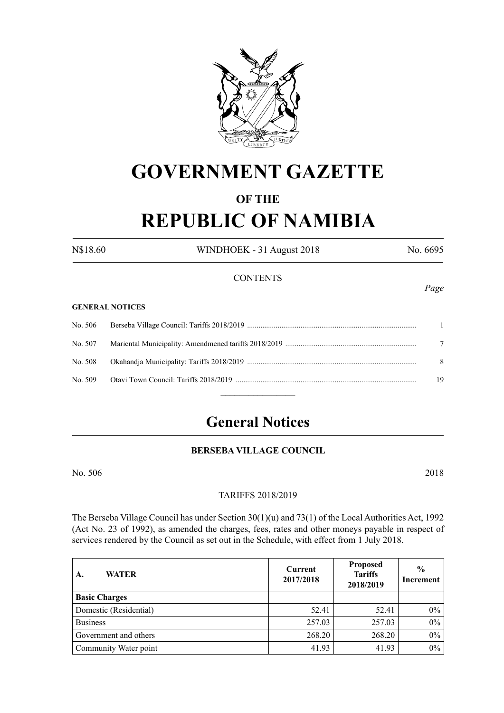

# **GOVERNMENT GAZETTE**

# **OF THE**

# **REPUBLIC OF NAMIBIA**

N\$18.60 WINDHOEK - 31 August 2018 No. 6695

# **CONTENTS**

#### **GENERAL NOTICES**

|         | 8  |
|---------|----|
| No. 509 | 19 |
|         |    |

# **General Notices**

# **BERSEBA VILLAGE COUNCIL**

No. 506 2018

# TARIFFS 2018/2019

The Berseba Village Council has under Section 30(1)(u) and 73(1) of the Local Authorities Act, 1992 (Act No. 23 of 1992), as amended the charges, fees, rates and other moneys payable in respect of services rendered by the Council as set out in the Schedule, with effect from 1 July 2018.

| <b>WATER</b><br>A.     | <b>Proposed</b><br>Current<br><b>Tariffs</b><br>2017/2018<br>2018/2019 |        | $\frac{6}{6}$<br>Increment |
|------------------------|------------------------------------------------------------------------|--------|----------------------------|
| <b>Basic Charges</b>   |                                                                        |        |                            |
| Domestic (Residential) | 52.41                                                                  | 52.41  | 0%                         |
| <b>Business</b>        | 257.03                                                                 | 257.03 | $0\%$                      |
| Government and others  | 268.20                                                                 | 268.20 | $0\%$                      |
| Community Water point  | 41.93                                                                  | 41.93  | $0\%$                      |

*Page*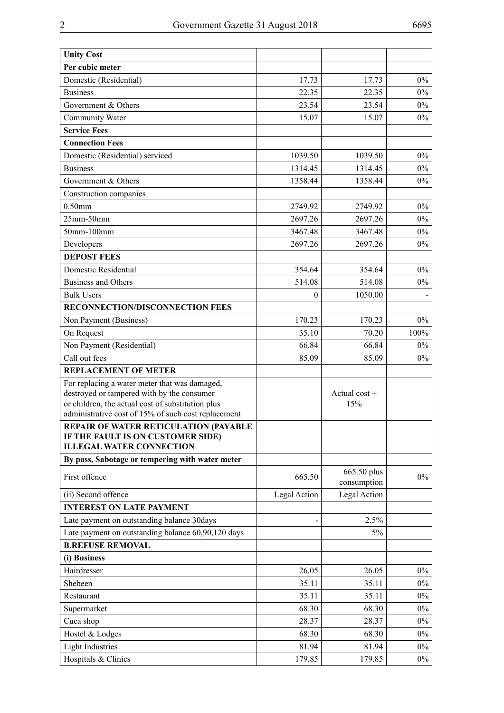| <b>Unity Cost</b>                                                                                        |              |                            |       |
|----------------------------------------------------------------------------------------------------------|--------------|----------------------------|-------|
| Per cubic meter                                                                                          |              |                            |       |
| Domestic (Residential)                                                                                   | 17.73        | 17.73                      | $0\%$ |
| <b>Business</b>                                                                                          | 22.35        | 22.35                      | $0\%$ |
| Government & Others                                                                                      | 23.54        | 23.54                      | $0\%$ |
| Community Water                                                                                          | 15.07        | 15.07                      | $0\%$ |
| <b>Service Fees</b>                                                                                      |              |                            |       |
| <b>Connection Fees</b>                                                                                   |              |                            |       |
| Domestic (Residential) serviced                                                                          | 1039.50      | 1039.50                    | $0\%$ |
| <b>Business</b>                                                                                          | 1314.45      | 1314.45                    | $0\%$ |
| Government & Others                                                                                      | 1358.44      | 1358.44                    | $0\%$ |
| Construction companies                                                                                   |              |                            |       |
| $0.50$ mm                                                                                                | 2749.92      | 2749.92                    | $0\%$ |
| $25$ mm- $50$ mm                                                                                         | 2697.26      | 2697.26                    | $0\%$ |
| 50mm-100mm                                                                                               | 3467.48      | 3467.48                    | $0\%$ |
| Developers                                                                                               | 2697.26      | 2697.26                    | $0\%$ |
| <b>DEPOST FEES</b>                                                                                       |              |                            |       |
| Domestic Residential                                                                                     | 354.64       | 354.64                     | $0\%$ |
| <b>Business and Others</b>                                                                               | 514.08       | 514.08                     | $0\%$ |
| <b>Bulk Users</b>                                                                                        | $\theta$     | 1050.00                    |       |
| RECONNECTION/DISCONNECTION FEES                                                                          |              |                            |       |
| Non Payment (Business)                                                                                   | 170.23       | 170.23                     | $0\%$ |
| On Request                                                                                               | 35.10        | 70.20                      | 100%  |
| Non Payment (Residential)                                                                                | 66.84        | 66.84                      | $0\%$ |
| Call out fees                                                                                            | 85.09        | 85.09                      | $0\%$ |
| <b>REPLACEMENT OF METER</b>                                                                              |              |                            |       |
| For replacing a water meter that was damaged,                                                            |              |                            |       |
| destroyed or tampered with by the consumer                                                               |              | Actual cost $+$            |       |
| or children, the actual cost of substitution plus<br>administrative cost of 15% of such cost replacement |              | 15%                        |       |
| <b>REPAIR OF WATER RETICULATION (PAYABLE</b>                                                             |              |                            |       |
| IF THE FAULT IS ON CUSTOMER SIDE)                                                                        |              |                            |       |
| <b>ILLEGAL WATER CONNECTION</b>                                                                          |              |                            |       |
| By pass, Sabotage or tempering with water meter                                                          |              |                            |       |
| First offence                                                                                            | 665.50       | 665.50 plus<br>consumption | $0\%$ |
| (ii) Second offence                                                                                      | Legal Action | Legal Action               |       |
| <b>INTEREST ON LATE PAYMENT</b>                                                                          |              |                            |       |
| Late payment on outstanding balance 30days                                                               |              | 2.5%                       |       |
| Late payment on outstanding balance 60,90,120 days                                                       |              | 5%                         |       |
| <b>B.REFUSE REMOVAL</b>                                                                                  |              |                            |       |
| (i) Business                                                                                             |              |                            |       |
| Hairdresser                                                                                              | 26.05        | 26.05                      | $0\%$ |
| Shebeen                                                                                                  | 35.11        | 35.11                      | $0\%$ |
| Restaurant                                                                                               | 35.11        | 35.11                      | $0\%$ |
| Supermarket                                                                                              | 68.30        | 68.30                      | $0\%$ |
| Cuca shop                                                                                                | 28.37        | 28.37                      | $0\%$ |
| Hostel & Lodges                                                                                          | 68.30        | 68.30                      | $0\%$ |
| <b>Light Industries</b>                                                                                  | 81.94        | 81.94                      | $0\%$ |
| Hospitals & Clinics                                                                                      | 179.85       | 179.85                     | $0\%$ |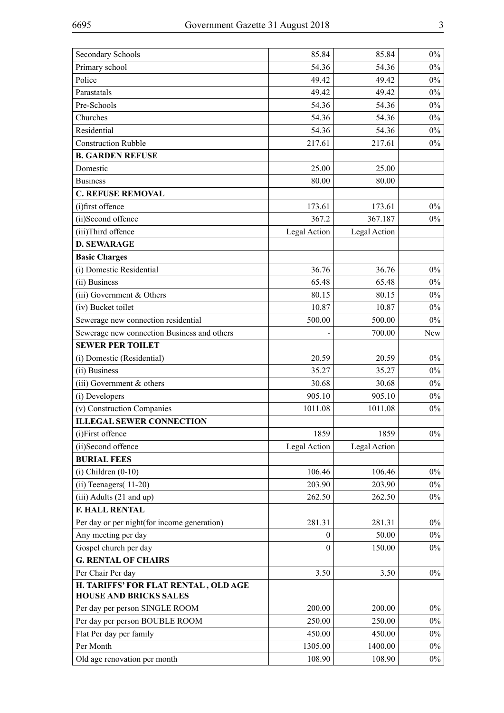| <b>Secondary Schools</b>                                              | 85.84            | 85.84        | $0\%$ |
|-----------------------------------------------------------------------|------------------|--------------|-------|
| Primary school                                                        | 54.36            | 54.36        | $0\%$ |
| Police                                                                | 49.42            | 49.42        | $0\%$ |
| Parastatals                                                           | 49.42            | 49.42        | $0\%$ |
| Pre-Schools                                                           | 54.36            | 54.36        | $0\%$ |
| Churches                                                              | 54.36            | 54.36        | $0\%$ |
| Residential                                                           | 54.36            | 54.36        | $0\%$ |
| <b>Construction Rubble</b>                                            | 217.61           | 217.61       | $0\%$ |
| <b>B. GARDEN REFUSE</b>                                               |                  |              |       |
| Domestic                                                              | 25.00            | 25.00        |       |
| <b>Business</b>                                                       | 80.00            | 80.00        |       |
| <b>C. REFUSE REMOVAL</b>                                              |                  |              |       |
| (i)first offence                                                      | 173.61           | 173.61       | $0\%$ |
| (ii)Second offence                                                    | 367.2            | 367.187      | $0\%$ |
| (iii)Third offence                                                    | Legal Action     | Legal Action |       |
| <b>D. SEWARAGE</b>                                                    |                  |              |       |
| <b>Basic Charges</b>                                                  |                  |              |       |
| (i) Domestic Residential                                              | 36.76            | 36.76        | $0\%$ |
| (ii) Business                                                         | 65.48            | 65.48        | $0\%$ |
| (iii) Government & Others                                             | 80.15            | 80.15        | $0\%$ |
| (iv) Bucket toilet                                                    | 10.87            | 10.87        | $0\%$ |
| Sewerage new connection residential                                   | 500.00           | 500.00       | $0\%$ |
| Sewerage new connection Business and others                           |                  | 700.00       | New   |
| <b>SEWER PER TOILET</b>                                               |                  |              |       |
| (i) Domestic (Residential)                                            | 20.59            | 20.59        | $0\%$ |
| (ii) Business                                                         | 35.27            | 35.27        | $0\%$ |
| $(iii)$ Government $&$ others                                         | 30.68            | 30.68        | $0\%$ |
| (i) Developers                                                        | 905.10           | 905.10       | $0\%$ |
| (v) Construction Companies                                            | 1011.08          | 1011.08      | $0\%$ |
| <b>ILLEGAL SEWER CONNECTION</b>                                       |                  |              |       |
| (i)First offence                                                      | 1859             | 1859         | $0\%$ |
| (ii)Second offence                                                    | Legal Action     | Legal Action |       |
| <b>BURIAL FEES</b>                                                    |                  |              |       |
| $(i)$ Children $(0-10)$                                               | 106.46           | 106.46       | $0\%$ |
| $(ii)$ Teenagers $(11-20)$                                            | 203.90           | 203.90       | $0\%$ |
| $(iii)$ Adults $(21$ and up)                                          | 262.50           | 262.50       | $0\%$ |
| <b>F. HALL RENTAL</b>                                                 |                  |              |       |
| Per day or per night (for income generation)                          | 281.31           | 281.31       | $0\%$ |
| Any meeting per day                                                   | $\boldsymbol{0}$ | 50.00        | $0\%$ |
| Gospel church per day                                                 | $\Omega$         | 150.00       | $0\%$ |
| <b>G. RENTAL OF CHAIRS</b>                                            |                  |              |       |
| Per Chair Per day                                                     | 3.50             | 3.50         | $0\%$ |
| H. TARIFFS' FOR FLAT RENTAL, OLD AGE<br><b>HOUSE AND BRICKS SALES</b> |                  |              |       |
| Per day per person SINGLE ROOM                                        | 200.00           | 200.00       | $0\%$ |
| Per day per person BOUBLE ROOM                                        | 250.00           | 250.00       | $0\%$ |
| Flat Per day per family                                               | 450.00           | 450.00       | $0\%$ |
| Per Month                                                             | 1305.00          | 1400.00      | $0\%$ |
| Old age renovation per month                                          | 108.90           | 108.90       | $0\%$ |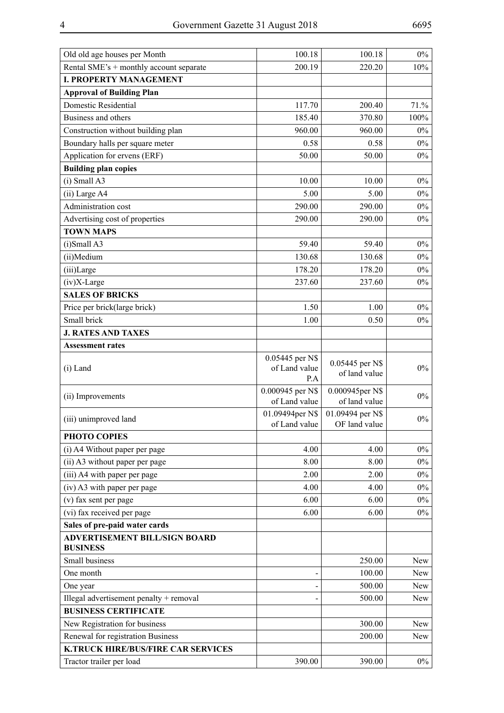| Old old age houses per Month                            | 100.18                                  | 100.18                            | $0\%$ |
|---------------------------------------------------------|-----------------------------------------|-----------------------------------|-------|
| Rental SME's + monthly account separate                 | 200.19                                  | 220.20                            | 10%   |
| <b>I. PROPERTY MANAGEMENT</b>                           |                                         |                                   |       |
| <b>Approval of Building Plan</b>                        |                                         |                                   |       |
| Domestic Residential                                    | 117.70                                  | 200.40                            | 71.%  |
| Business and others                                     | 185.40                                  | 370.80                            | 100%  |
| Construction without building plan                      | 960.00                                  | 960.00                            | $0\%$ |
| Boundary halls per square meter                         | 0.58                                    | 0.58                              | $0\%$ |
| Application for ervens (ERF)                            | 50.00                                   | 50.00                             | $0\%$ |
| <b>Building plan copies</b>                             |                                         |                                   |       |
| $(i)$ Small A3                                          | 10.00                                   | 10.00                             | $0\%$ |
| (ii) Large A4                                           | 5.00                                    | 5.00                              | $0\%$ |
| Administration cost                                     | 290.00                                  | 290.00                            | $0\%$ |
| Advertising cost of properties                          | 290.00                                  | 290.00                            | $0\%$ |
| <b>TOWN MAPS</b>                                        |                                         |                                   |       |
| $(i)$ Small A3                                          | 59.40                                   | 59.40                             | $0\%$ |
| (ii)Medium                                              | 130.68                                  | 130.68                            | $0\%$ |
| (iii)Large                                              | 178.20                                  | 178.20                            | $0\%$ |
| $(iv)X-Large$                                           | 237.60                                  | 237.60                            | $0\%$ |
| <b>SALES OF BRICKS</b>                                  |                                         |                                   |       |
| Price per brick(large brick)                            | 1.50                                    | 1.00                              | $0\%$ |
| Small brick                                             | 1.00                                    | 0.50                              | $0\%$ |
| <b>J. RATES AND TAXES</b>                               |                                         |                                   |       |
| <b>Assessment rates</b>                                 |                                         |                                   |       |
| $(i)$ Land                                              | 0.05445 per N\$<br>of Land value<br>P.A | 0.05445 per N\$<br>of land value  | $0\%$ |
| (ii) Improvements                                       | 0.000945 per N\$<br>of Land value       | 0.000945per N\$<br>of land value  | $0\%$ |
| (iii) unimproved land                                   | 01.09494per N\$<br>of Land value        | 01.09494 per N\$<br>OF land value | $0\%$ |
| PHOTO COPIES                                            |                                         |                                   |       |
| (i) A4 Without paper per page                           | 4.00                                    | 4.00                              | $0\%$ |
| (ii) A3 without paper per page                          | 8.00                                    | 8.00                              | $0\%$ |
| (iii) A4 with paper per page                            | 2.00                                    | 2.00                              | $0\%$ |
| (iv) A3 with paper per page                             | 4.00                                    | 4.00                              | $0\%$ |
| (v) fax sent per page                                   | 6.00                                    | 6.00                              | $0\%$ |
| (vi) fax received per page                              | 6.00                                    | 6.00                              | $0\%$ |
| Sales of pre-paid water cards                           |                                         |                                   |       |
| <b>ADVERTISEMENT BILL/SIGN BOARD</b><br><b>BUSINESS</b> |                                         |                                   |       |
| Small business                                          |                                         | 250.00                            | New   |
| One month                                               |                                         | 100.00                            | New   |
| One year                                                |                                         | 500.00                            | New   |
| Illegal advertisement penalty + removal                 |                                         | 500.00                            | New   |
| <b>BUSINESS CERTIFICATE</b>                             |                                         |                                   |       |
| New Registration for business                           |                                         | 300.00                            | New   |
| Renewal for registration Business                       |                                         | 200.00                            | New   |
| <b>K.TRUCK HIRE/BUS/FIRE CAR SERVICES</b>               |                                         |                                   |       |
| Tractor trailer per load                                | 390.00                                  | 390.00                            | $0\%$ |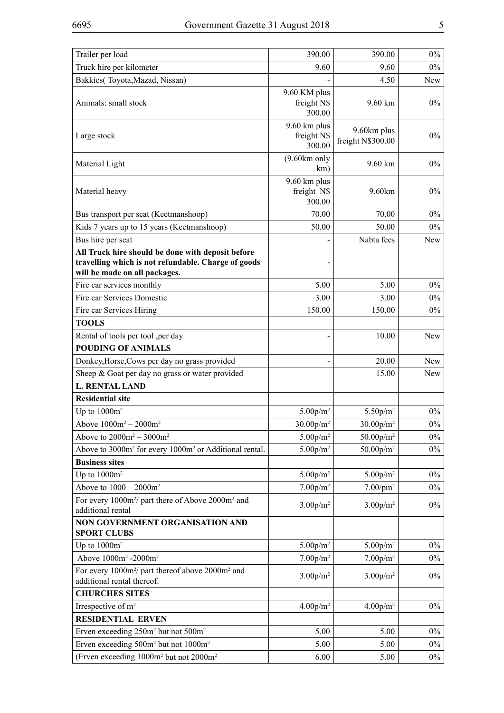| Trailer per load                                                                                                                          | 390.00                                | 390.00                             | $0\%$      |
|-------------------------------------------------------------------------------------------------------------------------------------------|---------------------------------------|------------------------------------|------------|
| Truck hire per kilometer                                                                                                                  | 9.60                                  | 9.60                               | $0\%$      |
| Bakkies(Toyota, Mazad, Nissan)                                                                                                            |                                       | 4.50                               | New        |
| Animals: small stock                                                                                                                      | 9.60 KM plus<br>freight N\$<br>300.00 | 9.60 km                            | $0\%$      |
| Large stock                                                                                                                               | 9.60 km plus<br>freight N\$<br>300.00 | 9.60km plus<br>freight N\$300.00   | $0\%$      |
| Material Light                                                                                                                            | $(9.60km)$ only<br>km)                | 9.60 km                            | 0%         |
| Material heavy                                                                                                                            | 9.60 km plus<br>freight N\$<br>300.00 | 9.60km                             | $0\%$      |
| Bus transport per seat (Keetmanshoop)                                                                                                     | 70.00                                 | 70.00                              | $0\%$      |
| Kids 7 years up to 15 years (Keetmanshoop)                                                                                                | 50.00                                 | 50.00                              | $0\%$      |
| Bus hire per seat                                                                                                                         |                                       | Nabta fees                         | New        |
| All Truck hire should be done with deposit before<br>travelling which is not refundable. Charge of goods<br>will be made on all packages. |                                       |                                    |            |
| Fire car services monthly                                                                                                                 | 5.00                                  | 5.00                               | $0\%$      |
| Fire car Services Domestic                                                                                                                | 3.00                                  | 3.00                               | $0\%$      |
| Fire car Services Hiring                                                                                                                  | 150.00                                | 150.00                             | $0\%$      |
| <b>TOOLS</b>                                                                                                                              |                                       |                                    |            |
| Rental of tools per tool , per day                                                                                                        |                                       | 10.00                              | New        |
| <b>POUDING OF ANIMALS</b>                                                                                                                 |                                       |                                    |            |
| Donkey, Horse, Cows per day no grass provided                                                                                             |                                       | 20.00                              | New        |
| Sheep & Goat per day no grass or water provided                                                                                           |                                       | 15.00                              | <b>New</b> |
| <b>L. RENTAL LAND</b>                                                                                                                     |                                       |                                    |            |
| <b>Residential site</b>                                                                                                                   |                                       |                                    |            |
| Up to $1000m^2$                                                                                                                           | 5.00 <sub>p</sub> /m <sup>2</sup>     | 5.50 <sub>p</sub> /m <sup>2</sup>  | $0\%$      |
| Above $1000m^2 - 2000m^2$                                                                                                                 | $30.00 p/m^2$                         | $30.00 p/m^2$                      | $0\%$      |
| Above to $2000m^2 - 3000m^2$                                                                                                              | 5.00 <sub>p</sub> /m <sup>2</sup>     | $50.00 p/m^2$                      | $0\%$      |
| Above to 3000m <sup>2</sup> for every 1000m <sup>2</sup> or Additional rental.                                                            | 5.00 <sub>p</sub> /m <sup>2</sup>     | 50.00 <sub>p</sub> /m <sup>2</sup> | $0\%$      |
| <b>Business sites</b>                                                                                                                     |                                       |                                    |            |
| Up to $1000m^2$                                                                                                                           | 5.00 <sub>p</sub> /m <sup>2</sup>     | 5.00 p/m <sup>2</sup>              | $0\%$      |
| Above to $1000 - 2000m^2$                                                                                                                 | 7.00 <sub>p</sub> /m <sup>2</sup>     | $7.00$ /pm <sup>2</sup>            | $0\%$      |
| For every 1000m <sup>2</sup> / part there of Above 2000m <sup>2</sup> and<br>additional rental                                            | 3.00 <sub>p</sub> /m <sup>2</sup>     | 3.00 p/m <sup>2</sup>              | $0\%$      |
| NON GOVERNMENT ORGANISATION AND<br><b>SPORT CLUBS</b>                                                                                     |                                       |                                    |            |
| Up to $1000m^2$                                                                                                                           | 5.00 <sub>p</sub> /m <sup>2</sup>     | 5.00 <sub>p</sub> /m <sup>2</sup>  | $0\%$      |
| Above 1000m <sup>2</sup> -2000m <sup>2</sup>                                                                                              | 7.00 <sub>p</sub> /m <sup>2</sup>     | 7.00 p/m <sup>2</sup>              | $0\%$      |
| For every 1000m <sup>2</sup> / part thereof above 2000m <sup>2</sup> and<br>additional rental thereof.                                    | 3.00 p/m <sup>2</sup>                 | $3.00 p/m^2$                       | $0\%$      |
| <b>CHURCHES SITES</b>                                                                                                                     |                                       |                                    |            |
| Irrespective of m <sup>2</sup>                                                                                                            | 4.00 <sub>p</sub> /m <sup>2</sup>     | 4.00 <sub>p</sub> /m <sup>2</sup>  | $0\%$      |
| <b>RESIDENTIAL ERVEN</b>                                                                                                                  |                                       |                                    |            |
| Erven exceeding 250m <sup>2</sup> but not 500m <sup>2</sup>                                                                               | 5.00                                  | 5.00                               | $0\%$      |
| Erven exceeding 500m <sup>2</sup> but not 1000m <sup>2</sup>                                                                              | 5.00                                  | 5.00                               | $0\%$      |
| (Erven exceeding 1000m <sup>2</sup> but not 2000m <sup>2</sup>                                                                            | 6.00                                  | 5.00                               | $0\%$      |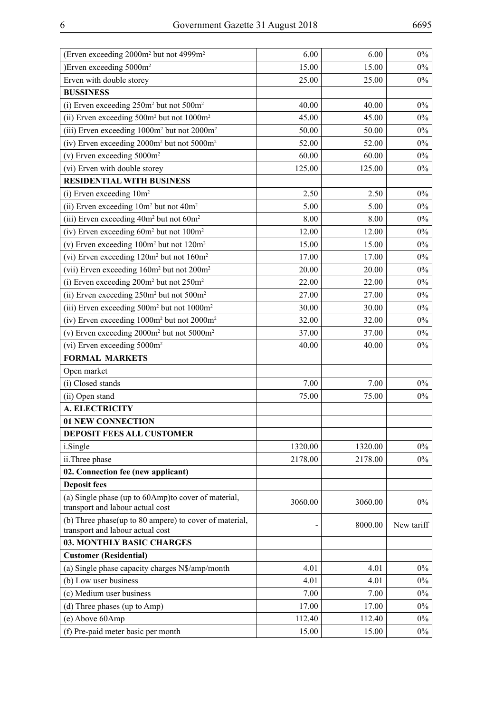| (Erven exceeding 2000m <sup>2</sup> but not 4999m <sup>2</sup>                             | 6.00    | 6.00    | $0\%$      |
|--------------------------------------------------------------------------------------------|---------|---------|------------|
| )Erven exceeding 5000m <sup>2</sup>                                                        | 15.00   | 15.00   | $0\%$      |
| Erven with double storey                                                                   | 25.00   | 25.00   | $0\%$      |
| <b>BUSSINESS</b>                                                                           |         |         |            |
| (i) Erven exceeding 250m <sup>2</sup> but not 500m <sup>2</sup>                            | 40.00   | 40.00   | $0\%$      |
| (ii) Erven exceeding 500m <sup>2</sup> but not 1000m <sup>2</sup>                          | 45.00   | 45.00   | $0\%$      |
| (iii) Erven exceeding 1000m <sup>2</sup> but not 2000m <sup>2</sup>                        | 50.00   | 50.00   | $0\%$      |
| (iv) Erven exceeding 2000m <sup>2</sup> but not 5000m <sup>2</sup>                         | 52.00   | 52.00   | $0\%$      |
| (v) Erven exceeding $5000m^2$                                                              | 60.00   | 60.00   | $0\%$      |
| (vi) Erven with double storey                                                              | 125.00  | 125.00  | $0\%$      |
| <b>RESIDENTIAL WITH BUSINESS</b>                                                           |         |         |            |
| (i) Erven exceeding $10m^2$                                                                | 2.50    | 2.50    | $0\%$      |
| (ii) Erven exceeding 10m <sup>2</sup> but not 40m <sup>2</sup>                             | 5.00    | 5.00    | $0\%$      |
| (iii) Erven exceeding 40m <sup>2</sup> but not 60m <sup>2</sup>                            | 8.00    | 8.00    | $0\%$      |
| (iv) Erven exceeding $60m^2$ but not $100m^2$                                              | 12.00   | 12.00   | $0\%$      |
| (v) Erven exceeding $100m^2$ but not $120m^2$                                              | 15.00   | 15.00   | $0\%$      |
| (vi) Erven exceeding 120m <sup>2</sup> but not 160m <sup>2</sup>                           | 17.00   | 17.00   | $0\%$      |
| (vii) Erven exceeding 160m <sup>2</sup> but not 200m <sup>2</sup>                          | 20.00   | 20.00   | $0\%$      |
| (i) Erven exceeding $200m^2$ but not $250m^2$                                              | 22.00   | 22.00   | $0\%$      |
| (ii) Erven exceeding 250m <sup>2</sup> but not 500m <sup>2</sup>                           | 27.00   | 27.00   | $0\%$      |
| (iii) Erven exceeding 500m <sup>2</sup> but not 1000m <sup>2</sup>                         | 30.00   | 30.00   | $0\%$      |
| (iv) Erven exceeding 1000m <sup>2</sup> but not 2000m <sup>2</sup>                         | 32.00   | 32.00   | $0\%$      |
| (v) Erven exceeding $2000m^2$ but not $5000m^2$                                            | 37.00   | 37.00   | $0\%$      |
| (vi) Erven exceeding 5000m <sup>2</sup>                                                    | 40.00   | 40.00   | $0\%$      |
| <b>FORMAL MARKETS</b>                                                                      |         |         |            |
| Open market                                                                                |         |         |            |
| (i) Closed stands                                                                          | 7.00    | 7.00    | $0\%$      |
| (ii) Open stand                                                                            | 75.00   | 75.00   | $0\%$      |
| <b>A. ELECTRICITY</b>                                                                      |         |         |            |
| 01 NEW CONNECTION                                                                          |         |         |            |
| <b>DEPOSIT FEES ALL CUSTOMER</b>                                                           |         |         |            |
| i.Single                                                                                   | 1320.00 | 1320.00 | $0\%$      |
| ii.Three phase                                                                             | 2178.00 | 2178.00 | $0\%$      |
| 02. Connection fee (new applicant)                                                         |         |         |            |
| <b>Deposit fees</b>                                                                        |         |         |            |
| (a) Single phase (up to 60Amp) to cover of material,                                       |         |         | $0\%$      |
| transport and labour actual cost                                                           | 3060.00 | 3060.00 |            |
| (b) Three phase(up to 80 ampere) to cover of material,<br>transport and labour actual cost |         | 8000.00 | New tariff |
| 03. MONTHLY BASIC CHARGES                                                                  |         |         |            |
| <b>Customer (Residential)</b>                                                              |         |         |            |
| (a) Single phase capacity charges N\$/amp/month                                            | 4.01    | 4.01    | $0\%$      |
| (b) Low user business                                                                      | 4.01    | 4.01    | $0\%$      |
| (c) Medium user business                                                                   | 7.00    | 7.00    | $0\%$      |
| (d) Three phases (up to Amp)                                                               | 17.00   | 17.00   | $0\%$      |
| (e) Above 60Amp                                                                            | 112.40  | 112.40  | $0\%$      |
| (f) Pre-paid meter basic per month                                                         | 15.00   | 15.00   | $0\%$      |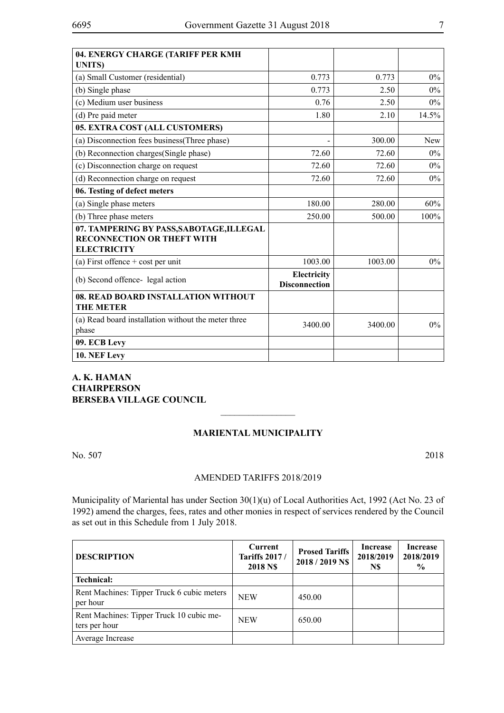| 04. ENERGY CHARGE (TARIFF PER KMH<br><b>UNITS</b> )                                                 |                                     |         |       |
|-----------------------------------------------------------------------------------------------------|-------------------------------------|---------|-------|
| (a) Small Customer (residential)                                                                    | 0.773                               | 0.773   | $0\%$ |
| (b) Single phase                                                                                    | 0.773                               | 2.50    | $0\%$ |
| (c) Medium user business                                                                            | 0.76                                | 2.50    | $0\%$ |
| (d) Pre paid meter                                                                                  | 1.80                                | 2.10    | 14.5% |
| 05. EXTRA COST (ALL CUSTOMERS)                                                                      |                                     |         |       |
| (a) Disconnection fees business (Three phase)                                                       |                                     | 300.00  | New   |
| (b) Reconnection charges (Single phase)                                                             | 72.60                               | 72.60   | $0\%$ |
| (c) Disconnection charge on request                                                                 | 72.60                               | 72.60   | 0%    |
| (d) Reconnection charge on request                                                                  | 72.60                               | 72.60   | $0\%$ |
| 06. Testing of defect meters                                                                        |                                     |         |       |
| (a) Single phase meters                                                                             | 180.00                              | 280.00  | 60%   |
| (b) Three phase meters                                                                              | 250.00                              | 500.00  | 100%  |
| 07. TAMPERING BY PASS, SABOTAGE, ILLEGAL<br><b>RECONNECTION OR THEFT WITH</b><br><b>ELECTRICITY</b> |                                     |         |       |
| (a) First offence $+$ cost per unit                                                                 | 1003.00                             | 1003.00 | $0\%$ |
| (b) Second offence-legal action                                                                     | Electricity<br><b>Disconnection</b> |         |       |
| 08. READ BOARD INSTALLATION WITHOUT<br><b>THE METER</b>                                             |                                     |         |       |
| (a) Read board installation without the meter three<br>phase                                        | 3400.00                             | 3400.00 | $0\%$ |
| 09. ECB Levy                                                                                        |                                     |         |       |
| 10. NEF Levy                                                                                        |                                     |         |       |

# **A. K. HAMAN CHAIRPERSON BERSEBA VILLAGE COUNCIL**

## **Mariental Municipality**

 $\frac{1}{2}$ 

No. 507 2018

#### AMENDED TARIFFS 2018/2019

Municipality of Mariental has under Section 30(1)(u) of Local Authorities Act, 1992 (Act No. 23 of 1992) amend the charges, fees, rates and other monies in respect of services rendered by the Council as set out in this Schedule from 1 July 2018.

| <b>DESCRIPTION</b>                                        | Current<br><b>Tariffs 2017/</b><br><b>2018 NS</b> | <b>Prosed Tariffs</b><br>2018 / 2019 NS | Increase<br>2018/2019<br>N\$ | Increase<br>2018/2019<br>$\frac{0}{0}$ |
|-----------------------------------------------------------|---------------------------------------------------|-----------------------------------------|------------------------------|----------------------------------------|
| <b>Technical:</b>                                         |                                                   |                                         |                              |                                        |
| Rent Machines: Tipper Truck 6 cubic meters<br>per hour    | <b>NEW</b>                                        | 450.00                                  |                              |                                        |
| Rent Machines: Tipper Truck 10 cubic me-<br>ters per hour | <b>NEW</b>                                        | 650.00                                  |                              |                                        |
| Average Increase                                          |                                                   |                                         |                              |                                        |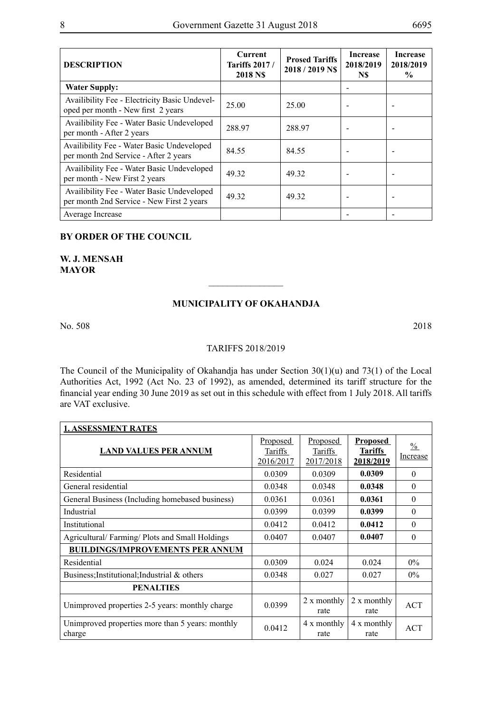| <b>DESCRIPTION</b>                                                                      | Current<br><b>Tariffs 2017/</b><br>2018 NS | <b>Prosed Tariffs</b><br>2018 / 2019 NS | <b>Increase</b><br>2018/2019<br>N\$ | <b>Increase</b><br>2018/2019<br>$\frac{1}{2}$ |
|-----------------------------------------------------------------------------------------|--------------------------------------------|-----------------------------------------|-------------------------------------|-----------------------------------------------|
| <b>Water Supply:</b>                                                                    |                                            |                                         |                                     |                                               |
| Availibility Fee - Electricity Basic Undevel-<br>oped per month - New first 2 years     | 25.00                                      | 25.00                                   |                                     |                                               |
| Availibility Fee - Water Basic Undeveloped<br>per month - After 2 years                 | 288.97                                     | 288.97                                  |                                     |                                               |
| Availibility Fee - Water Basic Undeveloped<br>per month 2nd Service - After 2 years     | 84.55                                      | 84.55                                   |                                     |                                               |
| Availibility Fee - Water Basic Undeveloped<br>per month - New First 2 years             | 49.32                                      | 49.32                                   |                                     |                                               |
| Availibility Fee - Water Basic Undeveloped<br>per month 2nd Service - New First 2 years | 49.32                                      | 49.32                                   |                                     |                                               |
| Average Increase                                                                        |                                            |                                         |                                     |                                               |

# **BY ORDER OF THE COUNCIL**

**W. J. Mensah MAYOR**

#### **MUNICIPALITY OF OKAHANDJA**

 $\frac{1}{2}$ 

No. 508 2018

## TARIFFS 2018/2019

The Council of the Municipality of Okahandja has under Section 30(1)(u) and 73(1) of the Local Authorities Act, 1992 (Act No. 23 of 1992), as amended, determined its tariff structure for the financial year ending 30 June 2019 as set out in this schedule with effect from 1 July 2018. All tariffs are VAT exclusive.

| <b>1. ASSESSMENT RATES</b>                                 |                                  |                                         |                                                |                                  |
|------------------------------------------------------------|----------------------------------|-----------------------------------------|------------------------------------------------|----------------------------------|
| <b>LAND VALUES PER ANNUM</b>                               | Proposed<br>Tariffs<br>2016/2017 | <b>Proposed</b><br>Tariffs<br>2017/2018 | <b>Proposed</b><br><b>Tariffs</b><br>2018/2019 | $\frac{0}{0}$<br><b>Increase</b> |
| Residential                                                | 0.0309                           | 0.0309                                  | 0.0309                                         | $\Omega$                         |
| General residential                                        | 0.0348                           | 0.0348                                  | 0.0348                                         | $\Omega$                         |
| General Business (Including homebased business)            | 0.0361                           | 0.0361                                  | 0.0361                                         | $\Omega$                         |
| Industrial                                                 | 0.0399                           | 0.0399                                  | 0.0399                                         | $\Omega$                         |
| Institutional                                              | 0.0412                           | 0.0412                                  | 0.0412                                         | $\Omega$                         |
| Agricultural/Farming/Plots and Small Holdings              | 0.0407                           | 0.0407                                  | 0.0407                                         | $\Omega$                         |
| <b>BUILDINGS/IMPROVEMENTS PER ANNUM</b>                    |                                  |                                         |                                                |                                  |
| Residential                                                | 0.0309                           | 0.024                                   | 0.024                                          | $0\%$                            |
| Business; Institutional; Industrial & others               | 0.0348                           | 0.027                                   | 0.027                                          | $0\%$                            |
| <b>PENALTIES</b>                                           |                                  |                                         |                                                |                                  |
| Unimproved properties 2-5 years: monthly charge            | 0.0399                           | 2 x monthly<br>rate                     | 2 x monthly<br>rate                            | <b>ACT</b>                       |
| Unimproved properties more than 5 years: monthly<br>charge | 0.0412                           | 4 x monthly<br>rate                     | 4 x monthly<br>rate                            | <b>ACT</b>                       |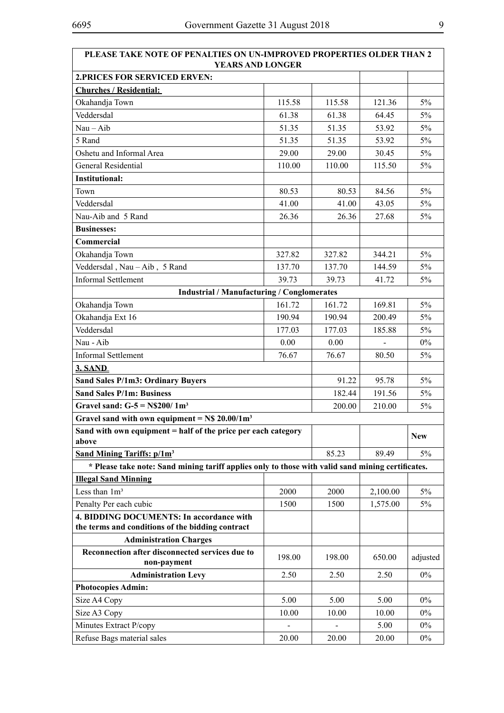| <b>PLEASE TAKE NOTE OF PENALTIES ON UN-IMPROVED PROPERTIES OLDER THAN 2</b><br><b>YEARS AND LONGER</b> |        |        |                |            |
|--------------------------------------------------------------------------------------------------------|--------|--------|----------------|------------|
| <b>2.PRICES FOR SERVICED ERVEN:</b>                                                                    |        |        |                |            |
| <b>Churches / Residential:</b>                                                                         |        |        |                |            |
| Okahandja Town                                                                                         | 115.58 | 115.58 | 121.36         | $5\%$      |
| Veddersdal                                                                                             | 61.38  | 61.38  | 64.45          | 5%         |
| $Nau - Aib$                                                                                            | 51.35  | 51.35  | 53.92          | 5%         |
| 5 Rand                                                                                                 | 51.35  | 51.35  | 53.92          | 5%         |
| Oshetu and Informal Area                                                                               | 29.00  | 29.00  | 30.45          | $5\%$      |
| General Residential                                                                                    | 110.00 | 110.00 | 115.50         | $5\%$      |
| <b>Institutional:</b>                                                                                  |        |        |                |            |
| Town                                                                                                   | 80.53  | 80.53  | 84.56          | $5\%$      |
| Veddersdal                                                                                             | 41.00  | 41.00  | 43.05          | $5\%$      |
| Nau-Aib and 5 Rand                                                                                     | 26.36  | 26.36  | 27.68          | $5\%$      |
| <b>Businesses:</b>                                                                                     |        |        |                |            |
| Commercial                                                                                             |        |        |                |            |
| Okahandja Town                                                                                         | 327.82 | 327.82 | 344.21         | 5%         |
| Veddersdal, Nau - Aib, 5 Rand                                                                          | 137.70 | 137.70 | 144.59         | $5\%$      |
| <b>Informal Settlement</b>                                                                             | 39.73  | 39.73  | 41.72          | $5\%$      |
| <b>Industrial / Manufacturing / Conglomerates</b>                                                      |        |        |                |            |
| Okahandja Town                                                                                         | 161.72 | 161.72 | 169.81         | $5\%$      |
| Okahandja Ext 16                                                                                       | 190.94 | 190.94 | 200.49         | 5%         |
| Veddersdal                                                                                             | 177.03 | 177.03 | 185.88         | 5%         |
| Nau - Aib                                                                                              | 0.00   | 0.00   | $\blacksquare$ | $0\%$      |
| <b>Informal Settlement</b>                                                                             | 76.67  | 76.67  | 80.50          | $5\%$      |
| <b>3. SAND</b>                                                                                         |        |        |                |            |
| <b>Sand Sales P/1m3: Ordinary Buyers</b>                                                               |        | 91.22  | 95.78          | 5%         |
| <b>Sand Sales P/1m: Business</b>                                                                       |        | 182.44 | 191.56         | 5%         |
| Gravel sand: $G-5 = N$200/1m3$                                                                         |        | 200.00 | 210.00         | 5%         |
| Gravel sand with own equipment = $N\$ 20.00/1m <sup>3</sup>                                            |        |        |                |            |
| Sand with own equipment = half of the price per each category                                          |        |        |                | <b>New</b> |
| above                                                                                                  |        |        |                |            |
| <b>Sand Mining Tariffs: <math>p/1m^3</math></b>                                                        |        | 85.23  | 89.49          | 5%         |
| * Please take note: Sand mining tariff applies only to those with valid sand mining certificates.      |        |        |                |            |
| <b>Illegal Sand Minning</b>                                                                            |        |        |                |            |
| Less than $1m3$                                                                                        | 2000   | 2000   | 2,100.00       | 5%         |
| Penalty Per each cubic                                                                                 | 1500   | 1500   | 1,575.00       | 5%         |
| 4. BIDDING DOCUMENTS: In accordance with                                                               |        |        |                |            |
| the terms and conditions of the bidding contract                                                       |        |        |                |            |
| <b>Administration Charges</b><br>Reconnection after disconnected services due to                       |        |        |                |            |
| non-payment                                                                                            | 198.00 | 198.00 | 650.00         | adjusted   |
| <b>Administration Levy</b>                                                                             | 2.50   | 2.50   | 2.50           | $0\%$      |
| <b>Photocopies Admin:</b>                                                                              |        |        |                |            |
| Size A4 Copy                                                                                           | 5.00   | 5.00   | 5.00           | $0\%$      |
| Size A3 Copy                                                                                           | 10.00  | 10.00  | 10.00          | $0\%$      |
| Minutes Extract P/copy                                                                                 |        |        | 5.00           | $0\%$      |
| Refuse Bags material sales                                                                             | 20.00  | 20.00  | 20.00          | $0\%$      |
|                                                                                                        |        |        |                |            |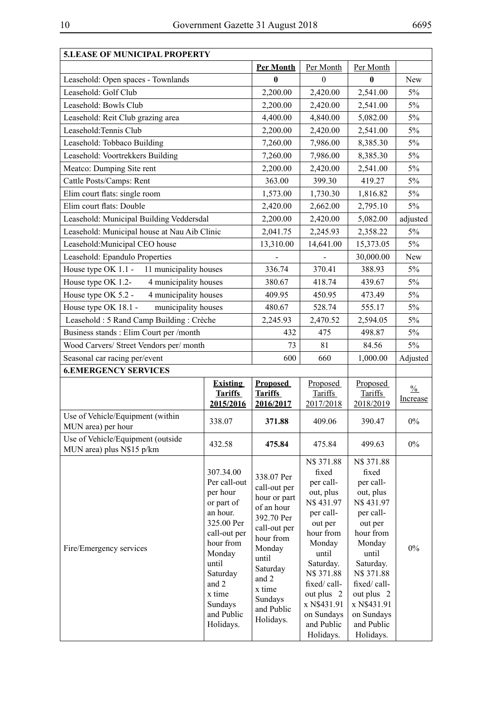| <b>5.LEASE OF MUNICIPAL PROPERTY</b>                           |                                                                                                                                                              |                                                                                                                                                       |                                                                                                                                                                            |                                                                                                                                                                            |                                  |
|----------------------------------------------------------------|--------------------------------------------------------------------------------------------------------------------------------------------------------------|-------------------------------------------------------------------------------------------------------------------------------------------------------|----------------------------------------------------------------------------------------------------------------------------------------------------------------------------|----------------------------------------------------------------------------------------------------------------------------------------------------------------------------|----------------------------------|
|                                                                |                                                                                                                                                              | Per Month                                                                                                                                             | Per Month                                                                                                                                                                  | Per Month                                                                                                                                                                  |                                  |
| Leasehold: Open spaces - Townlands                             |                                                                                                                                                              | $\mathbf{0}$                                                                                                                                          | $\theta$                                                                                                                                                                   | 0                                                                                                                                                                          | New                              |
| Leasehold: Golf Club                                           |                                                                                                                                                              | 2,200.00                                                                                                                                              | 2,420.00                                                                                                                                                                   | 2,541.00                                                                                                                                                                   | $5\%$                            |
| Leasehold: Bowls Club                                          |                                                                                                                                                              | 2,200.00                                                                                                                                              | 2,420.00                                                                                                                                                                   | 2,541.00                                                                                                                                                                   | 5%                               |
| Leasehold: Reit Club grazing area                              |                                                                                                                                                              | 4,400.00                                                                                                                                              | 4,840.00                                                                                                                                                                   | 5,082.00                                                                                                                                                                   | 5%                               |
| Leasehold: Tennis Club                                         |                                                                                                                                                              | 2,200.00                                                                                                                                              | 2,420.00                                                                                                                                                                   | 2,541.00                                                                                                                                                                   | 5%                               |
| Leasehold: Tobbaco Building                                    |                                                                                                                                                              | 7,260.00                                                                                                                                              | 7,986.00                                                                                                                                                                   | 8,385.30                                                                                                                                                                   | 5%                               |
| Leasehold: Voortrekkers Building                               |                                                                                                                                                              | 7,260.00                                                                                                                                              | 7,986.00                                                                                                                                                                   | 8,385.30                                                                                                                                                                   | 5%                               |
| Meatco: Dumping Site rent                                      |                                                                                                                                                              | 2,200.00                                                                                                                                              | 2,420.00                                                                                                                                                                   | 2,541.00                                                                                                                                                                   | 5%                               |
| Cattle Posts/Camps: Rent                                       |                                                                                                                                                              | 363.00                                                                                                                                                | 399.30                                                                                                                                                                     | 419.27                                                                                                                                                                     | $5\%$                            |
| Elim court flats: single room                                  |                                                                                                                                                              | 1,573.00                                                                                                                                              | 1,730.30                                                                                                                                                                   | 1,816.82                                                                                                                                                                   | 5%                               |
| Elim court flats: Double                                       |                                                                                                                                                              | 2,420.00                                                                                                                                              | 2,662.00                                                                                                                                                                   | 2,795.10                                                                                                                                                                   | 5%                               |
| Leasehold: Municipal Building Veddersdal                       |                                                                                                                                                              | 2,200.00                                                                                                                                              | 2,420.00                                                                                                                                                                   | 5,082.00                                                                                                                                                                   | adjusted                         |
| Leasehold: Municipal house at Nau Aib Clinic                   |                                                                                                                                                              | 2,041.75                                                                                                                                              | 2,245.93                                                                                                                                                                   | 2,358.22                                                                                                                                                                   | 5%                               |
| Leasehold: Municipal CEO house                                 |                                                                                                                                                              | 13,310.00                                                                                                                                             | 14,641.00                                                                                                                                                                  | 15,373.05                                                                                                                                                                  | 5%                               |
| Leasehold: Epandulo Properties                                 |                                                                                                                                                              |                                                                                                                                                       |                                                                                                                                                                            | 30,000.00                                                                                                                                                                  | New                              |
| House type OK 1.1 -<br>11 municipality houses                  |                                                                                                                                                              | 336.74                                                                                                                                                | 370.41                                                                                                                                                                     | 388.93                                                                                                                                                                     | 5%                               |
| 4 municipality houses<br>House type OK 1.2-                    |                                                                                                                                                              | 380.67                                                                                                                                                | 418.74                                                                                                                                                                     | 439.67                                                                                                                                                                     | $5\%$                            |
| House type OK 5.2 -<br>4 municipality houses                   |                                                                                                                                                              | 409.95                                                                                                                                                | 450.95                                                                                                                                                                     | 473.49                                                                                                                                                                     | 5%                               |
| House type OK 18.1 -<br>municipality houses                    |                                                                                                                                                              | 480.67                                                                                                                                                | 528.74                                                                                                                                                                     | 555.17                                                                                                                                                                     | $5\%$                            |
| Leasehold: 5 Rand Camp Building: Crèche                        |                                                                                                                                                              | 2,245.93                                                                                                                                              | 2,470.52                                                                                                                                                                   | 2,594.05                                                                                                                                                                   | 5%                               |
| Business stands: Elim Court per /month                         |                                                                                                                                                              | 432                                                                                                                                                   | 475                                                                                                                                                                        | 498.87                                                                                                                                                                     | $5\%$                            |
| Wood Carvers/ Street Vendors per/ month                        |                                                                                                                                                              | 73                                                                                                                                                    | 81                                                                                                                                                                         | 84.56                                                                                                                                                                      | 5%                               |
| Seasonal car racing per/event                                  |                                                                                                                                                              | 600                                                                                                                                                   | 660                                                                                                                                                                        | 1,000.00                                                                                                                                                                   | Adjusted                         |
| <b>6.EMERGENCY SERVICES</b>                                    |                                                                                                                                                              |                                                                                                                                                       |                                                                                                                                                                            |                                                                                                                                                                            |                                  |
|                                                                | <b>Existing</b><br><b>Tariffs</b><br>2015/2016                                                                                                               | <b>Proposed</b><br><b>Tariffs</b><br>2016/2017                                                                                                        | Proposed<br>Tariffs<br>2017/2018                                                                                                                                           | Proposed<br><b>Tariffs</b><br>2018/2019                                                                                                                                    | $\frac{0}{0}$<br><b>Increase</b> |
| Use of Vehicle/Equipment (within<br>MUN area) per hour         | 338.07                                                                                                                                                       | 371.88                                                                                                                                                | 409.06                                                                                                                                                                     | 390.47                                                                                                                                                                     | $0\%$                            |
| Use of Vehicle/Equipment (outside<br>MUN area) plus N\$15 p/km | 432.58                                                                                                                                                       | 475.84                                                                                                                                                | 475.84                                                                                                                                                                     | 499.63                                                                                                                                                                     | $0\%$                            |
| Fire/Emergency services                                        | 307.34.00<br>Per call-out<br>per hour<br>or part of<br>an hour.<br>325.00 Per<br>call-out per<br>hour from<br>Monday<br>until<br>Saturday<br>and 2<br>x time | 338.07 Per<br>call-out per<br>hour or part<br>of an hour<br>392.70 Per<br>call-out per<br>hour from<br>Monday<br>until<br>Saturday<br>and 2<br>x time | N\$ 371.88<br>fixed<br>per call-<br>out, plus<br>N\$431.97<br>per call-<br>out per<br>hour from<br>Monday<br>until<br>Saturday.<br>N\$ 371.88<br>fixed/call-<br>out plus 2 | N\$ 371.88<br>fixed<br>per call-<br>out, plus<br>N\$431.97<br>per call-<br>out per<br>hour from<br>Monday<br>until<br>Saturday.<br>N\$ 371.88<br>fixed/call-<br>out plus 2 | $0\%$                            |

and Public Holidays.

Holidays.

on Sundays and Public Holidays.

on Sundays and Public Holidays.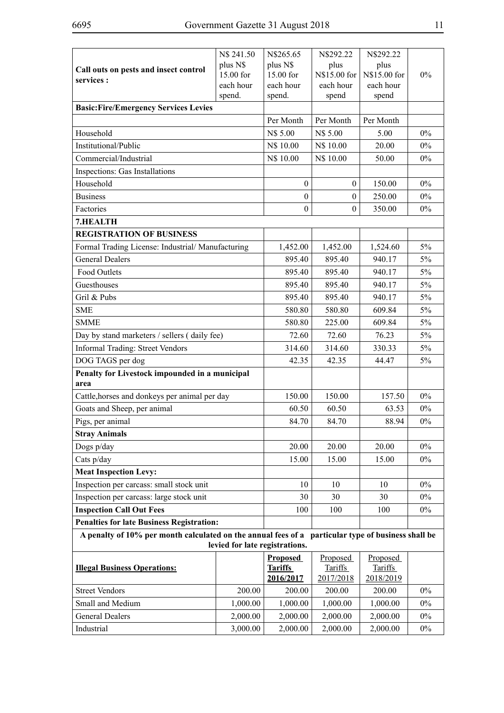|                                                                                                    | N\$ 241.50                                       | N\$265.65                   | N\$292.22                   | N\$292.22                   |       |
|----------------------------------------------------------------------------------------------------|--------------------------------------------------|-----------------------------|-----------------------------|-----------------------------|-------|
| Call outs on pests and insect control                                                              | plus N\$                                         | plus N\$                    | plus                        | plus                        |       |
| services :                                                                                         | 15.00 for<br>each hour                           | 15.00 for<br>each hour      | N\$15.00 for<br>each hour   | N\$15.00 for<br>each hour   | $0\%$ |
|                                                                                                    | spend.                                           | spend.                      | spend                       | spend                       |       |
| <b>Basic:Fire/Emergency Services Levies</b>                                                        |                                                  |                             |                             |                             |       |
|                                                                                                    |                                                  | Per Month                   | Per Month                   | Per Month                   |       |
| Household                                                                                          |                                                  | N\$ 5.00                    | N\$ 5.00                    | 5.00                        | $0\%$ |
| Institutional/Public                                                                               |                                                  | N\$ 10.00                   | N\$ 10.00                   | 20.00                       | $0\%$ |
| Commercial/Industrial                                                                              |                                                  | N\$ 10.00                   | N\$ 10.00                   | 50.00                       | $0\%$ |
| Inspections: Gas Installations                                                                     |                                                  |                             |                             |                             |       |
| Household                                                                                          |                                                  | $\boldsymbol{0}$            | $\boldsymbol{0}$            | 150.00                      | $0\%$ |
| <b>Business</b>                                                                                    |                                                  | $\boldsymbol{0}$            | $\theta$                    | 250.00                      | $0\%$ |
| Factories                                                                                          |                                                  | $\mathbf{0}$                | $\theta$                    | 350.00                      | $0\%$ |
| 7.HEALTH                                                                                           |                                                  |                             |                             |                             |       |
| <b>REGISTRATION OF BUSINESS</b>                                                                    |                                                  |                             |                             |                             |       |
| Formal Trading License: Industrial/Manufacturing                                                   |                                                  | 1,452.00                    | 1,452.00                    | 1,524.60                    | 5%    |
| <b>General Dealers</b>                                                                             |                                                  | 895.40                      | 895.40                      | 940.17                      | 5%    |
| Food Outlets                                                                                       |                                                  | 895.40                      | 895.40                      | 940.17                      | 5%    |
| Guesthouses                                                                                        |                                                  | 895.40                      | 895.40                      | 940.17                      | 5%    |
| Gril & Pubs                                                                                        |                                                  | 895.40                      | 895.40                      | 940.17                      | 5%    |
| <b>SME</b>                                                                                         |                                                  | 580.80                      | 580.80                      | 609.84                      | 5%    |
| <b>SMME</b>                                                                                        |                                                  | 580.80                      | 225.00                      | 609.84                      | 5%    |
| Day by stand marketers / sellers (daily fee)                                                       |                                                  | 72.60                       | 72.60                       | 76.23                       | 5%    |
| <b>Informal Trading: Street Vendors</b>                                                            |                                                  | 314.60                      | 314.60                      | 330.33                      | 5%    |
| DOG TAGS per dog                                                                                   |                                                  | 42.35                       | 42.35                       | 44.47                       | 5%    |
| Penalty for Livestock impounded in a municipal<br>area                                             |                                                  |                             |                             |                             |       |
| Cattle, horses and donkeys per animal per day                                                      |                                                  | 150.00                      | 150.00                      | 157.50                      | $0\%$ |
| Goats and Sheep, per animal                                                                        |                                                  | 60.50                       | 60.50<br>63.53              |                             | 0%    |
| Pigs, per animal                                                                                   |                                                  | 84.70                       | 84.70                       | 88.94                       | $0\%$ |
| <b>Stray Animals</b>                                                                               |                                                  |                             |                             |                             |       |
| Dogs p/day                                                                                         |                                                  | 20.00                       | 20.00                       | 20.00                       | $0\%$ |
| Cats p/day                                                                                         |                                                  | 15.00                       | 15.00                       | 15.00                       | $0\%$ |
| <b>Meat Inspection Levy:</b>                                                                       |                                                  |                             |                             |                             |       |
| Inspection per carcass: small stock unit                                                           |                                                  | 10                          | 10                          | 10                          | $0\%$ |
| Inspection per carcass: large stock unit                                                           |                                                  | 30                          | 30                          | 30                          | $0\%$ |
| <b>Inspection Call Out Fees</b>                                                                    |                                                  | 100                         | 100                         | 100                         | $0\%$ |
|                                                                                                    | <b>Penalties for late Business Registration:</b> |                             |                             |                             |       |
| A penalty of 10% per month calculated on the annual fees of a particular type of business shall be |                                                  |                             |                             |                             |       |
|                                                                                                    | levied for late registrations.                   |                             |                             |                             |       |
|                                                                                                    |                                                  | <b>Proposed</b>             | Proposed                    | Proposed                    |       |
| <b>Illegal Business Operations:</b>                                                                |                                                  | <b>Tariffs</b><br>2016/2017 | <b>Tariffs</b><br>2017/2018 | <b>Tariffs</b><br>2018/2019 |       |
| <b>Street Vendors</b>                                                                              | 200.00                                           | 200.00                      | 200.00                      | 200.00                      | $0\%$ |
| Small and Medium                                                                                   | 1,000.00                                         | 1,000.00                    | 1,000.00                    | 1,000.00                    | $0\%$ |
| <b>General Dealers</b>                                                                             | 2,000.00                                         | 2,000.00                    | 2,000.00                    | 2,000.00                    | $0\%$ |
| Industrial                                                                                         | 3,000.00                                         | 2,000.00                    | 2,000.00                    | 2,000.00                    | $0\%$ |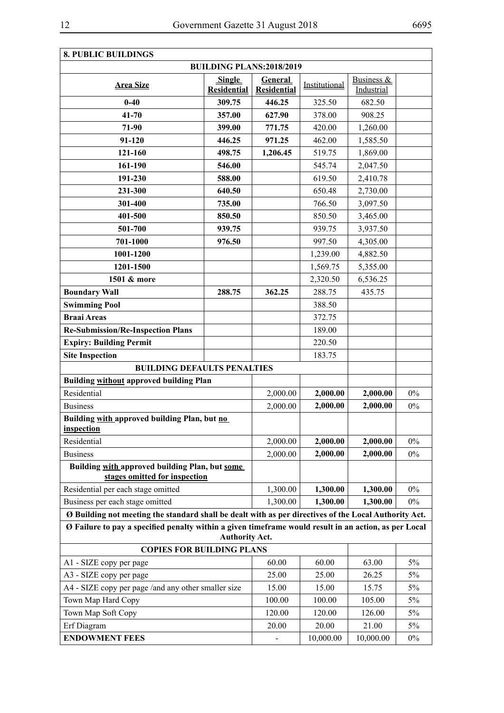| <b>8. PUBLIC BUILDINGS</b>                                                                            |                                     |                               |               |                          |       |  |  |
|-------------------------------------------------------------------------------------------------------|-------------------------------------|-------------------------------|---------------|--------------------------|-------|--|--|
| <b>BUILDING PLANS:2018/2019</b>                                                                       |                                     |                               |               |                          |       |  |  |
| <b>Area Size</b>                                                                                      | <b>Single</b><br><b>Residential</b> | General<br><b>Residential</b> | Institutional | Business &<br>Industrial |       |  |  |
| $0 - 40$                                                                                              | 309.75                              | 446.25                        | 325.50        | 682.50                   |       |  |  |
| $41 - 70$                                                                                             | 357.00                              | 627.90                        | 378.00        | 908.25                   |       |  |  |
| 71-90                                                                                                 | 399.00                              | 771.75                        | 420.00        | 1,260.00                 |       |  |  |
| 91-120                                                                                                | 446.25                              | 971.25                        | 462.00        | 1,585.50                 |       |  |  |
| 121-160                                                                                               | 498.75                              | 1,206.45                      | 519.75        | 1,869.00                 |       |  |  |
| 161-190                                                                                               | 546.00                              |                               | 545.74        | 2,047.50                 |       |  |  |
| 191-230                                                                                               | 588.00                              |                               | 619.50        | 2,410.78                 |       |  |  |
| 231-300                                                                                               | 640.50                              |                               | 650.48        | 2,730.00                 |       |  |  |
| 301-400                                                                                               | 735.00                              |                               | 766.50        | 3,097.50                 |       |  |  |
| 401-500                                                                                               | 850.50                              |                               | 850.50        | 3,465.00                 |       |  |  |
| 501-700                                                                                               | 939.75                              |                               | 939.75        | 3,937.50                 |       |  |  |
| 701-1000                                                                                              | 976.50                              |                               | 997.50        | 4,305.00                 |       |  |  |
| 1001-1200                                                                                             |                                     |                               | 1,239.00      | 4,882.50                 |       |  |  |
| 1201-1500                                                                                             |                                     |                               | 1,569.75      | 5,355.00                 |       |  |  |
| 1501 & more                                                                                           |                                     |                               | 2,320.50      | 6,536.25                 |       |  |  |
| <b>Boundary Wall</b>                                                                                  | 288.75                              | 362.25                        | 288.75        | 435.75                   |       |  |  |
| <b>Swimming Pool</b>                                                                                  |                                     |                               | 388.50        |                          |       |  |  |
| <b>Braai Areas</b>                                                                                    |                                     |                               | 372.75        |                          |       |  |  |
| <b>Re-Submission/Re-Inspection Plans</b>                                                              |                                     |                               | 189.00        |                          |       |  |  |
| <b>Expiry: Building Permit</b>                                                                        |                                     |                               | 220.50        |                          |       |  |  |
| <b>Site Inspection</b>                                                                                |                                     |                               | 183.75        |                          |       |  |  |
| <b>BUILDING DEFAULTS PENALTIES</b>                                                                    |                                     |                               |               |                          |       |  |  |
| Building without approved building Plan                                                               |                                     |                               |               |                          |       |  |  |
| Residential                                                                                           |                                     | 2,000.00                      | 2,000.00      | 2,000.00                 | $0\%$ |  |  |
| <b>Business</b>                                                                                       |                                     | 2,000.00                      | 2,000.00      | 2,000.00                 | $0\%$ |  |  |
| Building with approved building Plan, but no<br><u>inspection</u>                                     |                                     |                               |               |                          |       |  |  |
| Residential                                                                                           |                                     | 2,000.00                      | 2,000.00      | 2,000.00                 | $0\%$ |  |  |
| <b>Business</b>                                                                                       |                                     | 2,000.00                      | 2,000.00      | 2,000.00                 | $0\%$ |  |  |
| Building with approved building Plan, but some<br>stages omitted for inspection                       |                                     |                               |               |                          |       |  |  |
| Residential per each stage omitted                                                                    |                                     | 1,300.00                      | 1,300.00      | 1,300.00                 | $0\%$ |  |  |
| Business per each stage omitted                                                                       |                                     | 1,300.00                      | 1,300.00      | 1,300.00                 | $0\%$ |  |  |
| Ø Building not meeting the standard shall be dealt with as per directives of the Local Authority Act. |                                     |                               |               |                          |       |  |  |
| Ø Failure to pay a specified penalty within a given timeframe would result in an action, as per Local | <b>Authority Act.</b>               |                               |               |                          |       |  |  |
| <b>COPIES FOR BUILDING PLANS</b>                                                                      |                                     |                               |               |                          |       |  |  |
| A1 - SIZE copy per page                                                                               |                                     | 60.00                         | 60.00         | 63.00                    | 5%    |  |  |
| A3 - SIZE copy per page                                                                               |                                     | 25.00                         | 25.00         | 26.25                    | $5\%$ |  |  |
| A4 - SIZE copy per page /and any other smaller size                                                   |                                     | 15.00                         | 15.00         | 15.75                    | $5\%$ |  |  |
| Town Map Hard Copy                                                                                    |                                     | 100.00                        | 100.00        | 105.00                   | $5\%$ |  |  |
| Town Map Soft Copy                                                                                    |                                     | 120.00                        | 120.00        | 126.00                   | $5\%$ |  |  |
| Erf Diagram                                                                                           |                                     | 20.00                         | 20.00         | 21.00                    | $5\%$ |  |  |
| <b>ENDOWMENT FEES</b>                                                                                 |                                     | 10,000.00                     | 10,000.00     | $0\%$                    |       |  |  |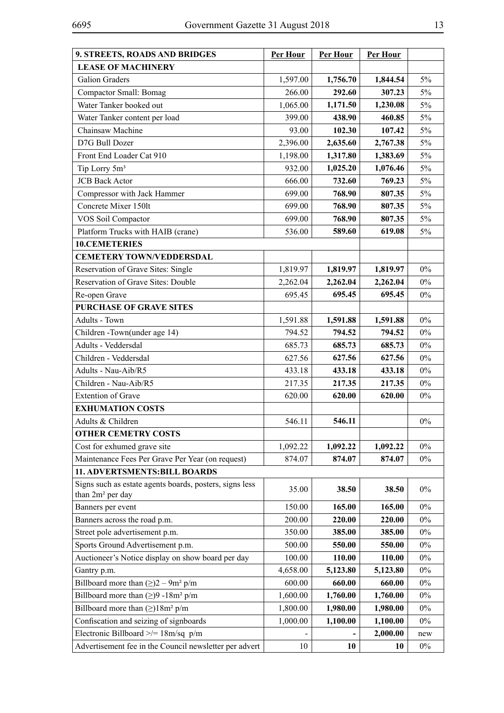| 9. STREETS, ROADS AND BRIDGES                                                           | Per Hour | Per Hour | Per Hour |       |
|-----------------------------------------------------------------------------------------|----------|----------|----------|-------|
| <b>LEASE OF MACHINERY</b>                                                               |          |          |          |       |
| Galion Graders                                                                          | 1,597.00 | 1,756.70 | 1,844.54 | 5%    |
| <b>Compactor Small: Bomag</b>                                                           | 266.00   | 292.60   | 307.23   | 5%    |
| Water Tanker booked out                                                                 | 1,065.00 | 1,171.50 | 1,230.08 | 5%    |
| Water Tanker content per load                                                           | 399.00   | 438.90   | 460.85   | 5%    |
| Chainsaw Machine                                                                        | 93.00    | 102.30   | 107.42   | 5%    |
| D7G Bull Dozer                                                                          | 2,396.00 | 2,635.60 | 2,767.38 | 5%    |
| Front End Loader Cat 910                                                                | 1,198.00 | 1,317.80 | 1,383.69 | $5\%$ |
| Tip Lorry 5m <sup>3</sup>                                                               | 932.00   | 1,025.20 | 1,076.46 | 5%    |
| <b>JCB</b> Back Actor                                                                   | 666.00   | 732.60   | 769.23   | $5\%$ |
| Compressor with Jack Hammer                                                             | 699.00   | 768.90   | 807.35   | 5%    |
| Concrete Mixer 150lt                                                                    | 699.00   | 768.90   | 807.35   | $5\%$ |
| VOS Soil Compactor                                                                      | 699.00   | 768.90   | 807.35   | $5\%$ |
| Platform Trucks with HAIB (crane)                                                       | 536.00   | 589.60   | 619.08   | $5\%$ |
| 10.CEMETERIES                                                                           |          |          |          |       |
| <b>CEMETERY TOWN/VEDDERSDAL</b>                                                         |          |          |          |       |
| Reservation of Grave Sites: Single                                                      | 1,819.97 | 1,819.97 | 1,819.97 | $0\%$ |
| <b>Reservation of Grave Sites: Double</b>                                               | 2,262.04 | 2,262.04 | 2,262.04 | $0\%$ |
| Re-open Grave                                                                           | 695.45   | 695.45   | 695.45   | $0\%$ |
| <b>PURCHASE OF GRAVE SITES</b>                                                          |          |          |          |       |
| Adults - Town                                                                           | 1,591.88 | 1,591.88 | 1,591.88 | $0\%$ |
| Children - Town(under age 14)                                                           | 794.52   | 794.52   | 794.52   | $0\%$ |
| Adults - Veddersdal                                                                     | 685.73   | 685.73   | 685.73   | $0\%$ |
| Children - Veddersdal                                                                   | 627.56   | 627.56   | 627.56   | $0\%$ |
| Adults - Nau-Aib/R5                                                                     | 433.18   | 433.18   | 433.18   | $0\%$ |
| Children - Nau-Aib/R5                                                                   | 217.35   | 217.35   | 217.35   | $0\%$ |
| <b>Extention of Grave</b>                                                               | 620.00   | 620.00   | 620.00   | $0\%$ |
| <b>EXHUMATION COSTS</b>                                                                 |          |          |          |       |
| Adults & Children                                                                       | 546.11   | 546.11   |          | $0\%$ |
| <b>OTHER CEMETRY COSTS</b>                                                              |          |          |          |       |
| Cost for exhumed grave site                                                             | 1,092.22 | 1,092.22 | 1,092.22 | $0\%$ |
| Maintenance Fees Per Grave Per Year (on request)                                        | 874.07   | 874.07   | 874.07   | $0\%$ |
| <b>11. ADVERTSMENTS:BILL BOARDS</b>                                                     |          |          |          |       |
| Signs such as estate agents boards, posters, signs less<br>than 2m <sup>2</sup> per day | 35.00    | 38.50    | 38.50    | $0\%$ |
| Banners per event                                                                       | 150.00   | 165.00   | 165.00   | $0\%$ |
| Banners across the road p.m.                                                            | 200.00   | 220.00   | 220.00   | $0\%$ |
| Street pole advertisement p.m.                                                          | 350.00   | 385.00   | 385.00   | $0\%$ |
| Sports Ground Advertisement p.m.                                                        | 500.00   | 550.00   | 550.00   | $0\%$ |
| Auctioneer's Notice display on show board per day                                       | 100.00   | 110.00   | 110.00   | $0\%$ |
| Gantry p.m.                                                                             | 4,658.00 | 5,123.80 | 5,123.80 | $0\%$ |
| Billboard more than $(\ge)2 - 9m^2 p/m$                                                 | 600.00   | 660.00   | 660.00   | $0\%$ |
| Billboard more than $(\ge)9 - 18m^2 p/m$                                                | 1,600.00 | 1,760.00 | 1,760.00 | $0\%$ |
| Billboard more than $(\ge)18m^2 p/m$                                                    | 1,800.00 | 1,980.00 | 1,980.00 | $0\%$ |
| Confiscation and seizing of signboards                                                  | 1,000.00 | 1,100.00 | 1,100.00 | $0\%$ |
| Electronic Billboard $\ge$ /= 18m/sq p/m                                                |          |          | 2,000.00 | new   |
| Advertisement fee in the Council newsletter per advert                                  | 10       | 10       | 10       | $0\%$ |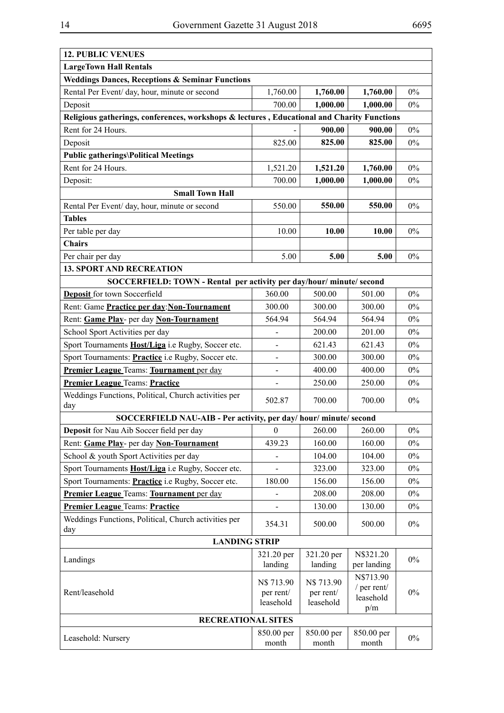| <b>12. PUBLIC VENUES</b>                                                                   |                                      |                                      |                                              |       |
|--------------------------------------------------------------------------------------------|--------------------------------------|--------------------------------------|----------------------------------------------|-------|
| <b>LargeTown Hall Rentals</b>                                                              |                                      |                                      |                                              |       |
| <b>Weddings Dances, Receptions &amp; Seminar Functions</b>                                 |                                      |                                      |                                              |       |
| Rental Per Event/ day, hour, minute or second                                              | 1,760.00                             | 1,760.00                             | 1,760.00                                     | 0%    |
| Deposit                                                                                    | 700.00                               | 1,000.00                             | 1,000.00                                     | $0\%$ |
| Religious gatherings, conferences, workshops & lectures, Educational and Charity Functions |                                      |                                      |                                              |       |
| Rent for 24 Hours.                                                                         |                                      | 900.00                               | 900.00                                       | $0\%$ |
| Deposit                                                                                    | 825.00                               | 825.00                               | 825.00                                       | $0\%$ |
| <b>Public gatherings\Political Meetings</b>                                                |                                      |                                      |                                              |       |
| Rent for 24 Hours.                                                                         | 1,521.20                             | 1,521.20                             | 1,760.00                                     | $0\%$ |
| Deposit:                                                                                   | 700.00                               | 1,000.00                             | 1,000.00                                     | $0\%$ |
| <b>Small Town Hall</b>                                                                     |                                      |                                      |                                              |       |
| Rental Per Event/ day, hour, minute or second                                              | 550.00                               | 550.00                               | 550.00                                       | $0\%$ |
| <b>Tables</b>                                                                              |                                      |                                      |                                              |       |
| Per table per day                                                                          | 10.00                                | 10.00                                | 10.00                                        | $0\%$ |
| <b>Chairs</b>                                                                              |                                      |                                      |                                              |       |
| Per chair per day                                                                          | 5.00                                 | 5.00                                 | 5.00                                         | $0\%$ |
| <b>13. SPORT AND RECREATION</b>                                                            |                                      |                                      |                                              |       |
| SOCCERFIELD: TOWN - Rental per activity per day/hour/ minute/ second                       |                                      |                                      |                                              |       |
| Deposit for town Soccerfield                                                               | 360.00                               | 500.00                               | 501.00                                       | $0\%$ |
| Rent: Game Practice per day: Non-Tournament                                                | 300.00                               | 300.00                               | 300.00                                       | $0\%$ |
| Rent: Game Play- per day Non-Tournament                                                    | 564.94                               | 564.94                               | 564.94                                       | $0\%$ |
| School Sport Activities per day                                                            |                                      | 200.00                               | 201.00                                       | $0\%$ |
| Sport Tournaments <b>Host/Liga</b> i.e Rugby, Soccer etc.                                  |                                      | 621.43                               | 621.43                                       | $0\%$ |
| Sport Tournaments: <b>Practice</b> i.e Rugby, Soccer etc.                                  |                                      | 300.00                               | 300.00                                       | $0\%$ |
| Premier League Teams: Tournament per day                                                   |                                      | 400.00                               | 400.00                                       | $0\%$ |
| <b>Premier League Teams: Practice</b>                                                      | $\overline{\phantom{a}}$             | 250.00                               | 250.00                                       | $0\%$ |
| Weddings Functions, Political, Church activities per<br>day                                | 502.87                               | 700.00                               | 700.00                                       | $0\%$ |
| SOCCERFIELD NAU-AIB - Per activity, per day/ hour/ minute/ second                          |                                      |                                      |                                              |       |
| Deposit for Nau Aib Soccer field per day                                                   | $\boldsymbol{0}$                     | 260.00                               | 260.00                                       | $0\%$ |
| Rent: Game Play- per day Non-Tournament                                                    | 439.23                               | 160.00                               | 160.00                                       | $0\%$ |
| School & youth Sport Activities per day                                                    |                                      | 104.00                               | 104.00                                       | $0\%$ |
| Sport Tournaments Host/Liga i.e Rugby, Soccer etc.                                         |                                      | 323.00                               | 323.00                                       | $0\%$ |
| Sport Tournaments: <b>Practice</b> i.e Rugby, Soccer etc.                                  | 180.00                               | 156.00                               | 156.00                                       | $0\%$ |
| Premier League Teams: Tournament per day                                                   |                                      | 208.00                               | 208.00                                       | $0\%$ |
| <b>Premier League Teams: Practice</b>                                                      |                                      | 130.00                               | 130.00                                       | $0\%$ |
| Weddings Functions, Political, Church activities per                                       |                                      |                                      |                                              | $0\%$ |
| day                                                                                        | 354.31                               | 500.00                               | 500.00                                       |       |
| <b>LANDING STRIP</b>                                                                       |                                      |                                      |                                              |       |
| Landings                                                                                   | 321.20 per<br>landing                | 321.20 per<br>landing                | N\$321.20<br>per landing                     | $0\%$ |
| Rent/leasehold                                                                             | N\$ 713.90<br>per rent/<br>leasehold | N\$ 713.90<br>per rent/<br>leasehold | N\$713.90<br>/ per rent/<br>leasehold<br>p/m | $0\%$ |
| <b>RECREATIONAL SITES</b>                                                                  |                                      |                                      |                                              |       |
| Leasehold: Nursery                                                                         | 850.00 per<br>month                  | 850.00 per<br>month                  | 850.00 per<br>month                          | $0\%$ |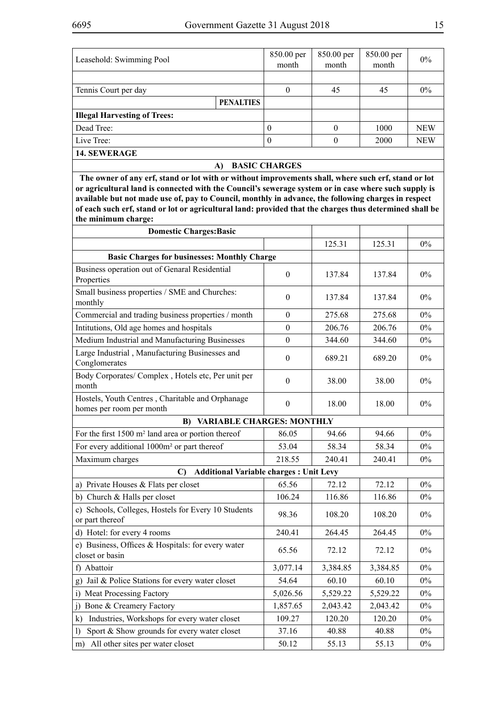| Leasehold: Swimming Pool            |                  | 850.00 per<br>month | 850.00 per<br>month | 850.00 per<br>month | $0\%$      |  |  |
|-------------------------------------|------------------|---------------------|---------------------|---------------------|------------|--|--|
|                                     |                  |                     |                     |                     |            |  |  |
| Tennis Court per day                |                  | 0                   | 45                  | 45                  | $0\%$      |  |  |
|                                     | <b>PENALTIES</b> |                     |                     |                     |            |  |  |
| <b>Illegal Harvesting of Trees:</b> |                  |                     |                     |                     |            |  |  |
| Dead Tree:                          |                  | $\theta$            | 0                   | 1000                | <b>NEW</b> |  |  |
| Live Tree:                          |                  | $\Omega$            |                     | 2000                | <b>NEW</b> |  |  |
| <b>14. SEWERAGE</b>                 |                  |                     |                     |                     |            |  |  |
| <b>BASIC CHARGES</b><br>A           |                  |                     |                     |                     |            |  |  |

 **The owner of any erf, stand or lot with or without improvements shall, where such erf, stand or lot or agricultural land is connected with the Council's sewerage system or in case where such supply is available but not made use of, pay to Council, monthly in advance, the following charges in respect of each such erf, stand or lot or agricultural land: provided that the charges thus determined shall be the minimum charge:**

| <b>Domestic Charges: Basic</b>                                               |                  |          |          |       |  |
|------------------------------------------------------------------------------|------------------|----------|----------|-------|--|
|                                                                              |                  | 125.31   | 125.31   | 0%    |  |
| <b>Basic Charges for businesses: Monthly Charge</b>                          |                  |          |          |       |  |
| Business operation out of Genaral Residential<br>Properties                  | $\boldsymbol{0}$ | 137.84   | 137.84   | $0\%$ |  |
| Small business properties / SME and Churches:<br>monthly                     | $\boldsymbol{0}$ | 137.84   | 137.84   | 0%    |  |
| Commercial and trading business properties / month                           | $\theta$         | 275.68   | 275.68   | $0\%$ |  |
| Intitutions, Old age homes and hospitals                                     | $\boldsymbol{0}$ | 206.76   | 206.76   | 0%    |  |
| Medium Industrial and Manufacturing Businesses                               | $\boldsymbol{0}$ | 344.60   | 344.60   | $0\%$ |  |
| Large Industrial, Manufacturing Businesses and<br>Conglomerates              | $\boldsymbol{0}$ | 689.21   | 689.20   | $0\%$ |  |
| Body Corporates/Complex, Hotels etc, Per unit per<br>month                   | $\theta$         | 38.00    | 38.00    | $0\%$ |  |
| Hostels, Youth Centres, Charitable and Orphanage<br>homes per room per month | $\boldsymbol{0}$ | 18.00    | 18.00    | $0\%$ |  |
| <b>VARIABLE CHARGES: MONTHLY</b><br>B)                                       |                  |          |          |       |  |
| For the first 1500 m <sup>2</sup> land area or portion thereof               | 86.05            | 94.66    | 94.66    | $0\%$ |  |
| For every additional 1000m <sup>2</sup> or part thereof                      | 53.04            | 58.34    | 58.34    | 0%    |  |
| Maximum charges                                                              | 218.55           | 240.41   | 240.41   | $0\%$ |  |
| $\mathbf{C}$<br><b>Additional Variable charges : Unit Levy</b>               |                  |          |          |       |  |
| a) Private Houses & Flats per closet                                         | 65.56            | 72.12    | 72.12    | 0%    |  |
| b) Church & Halls per closet                                                 | 106.24           | 116.86   | 116.86   | 0%    |  |
| c) Schools, Colleges, Hostels for Every 10 Students<br>or part thereof       | 98.36            | 108.20   | 108.20   | $0\%$ |  |
| d) Hotel: for every 4 rooms                                                  | 240.41           | 264.45   | 264.45   | $0\%$ |  |
| e) Business, Offices & Hospitals: for every water<br>closet or basin         | 65.56            | 72.12    | 72.12    | $0\%$ |  |
| f) Abattoir                                                                  | 3,077.14         | 3,384.85 | 3,384.85 | 0%    |  |
| Jail & Police Stations for every water closet<br>g)                          | 54.64            | 60.10    | 60.10    | $0\%$ |  |
| i) Meat Processing Factory                                                   | 5,026.56         | 5,529.22 | 5,529.22 | $0\%$ |  |
| j) Bone & Creamery Factory                                                   | 1,857.65         | 2,043.42 | 2,043.42 | $0\%$ |  |
| Industries, Workshops for every water closet<br>k)                           | 109.27           | 120.20   | 120.20   | $0\%$ |  |
| Sport & Show grounds for every water closet<br>$\mathbf{I}$                  | 37.16            | 40.88    | 40.88    | $0\%$ |  |
| m) All other sites per water closet                                          | 50.12            | 55.13    | 55.13    | 0%    |  |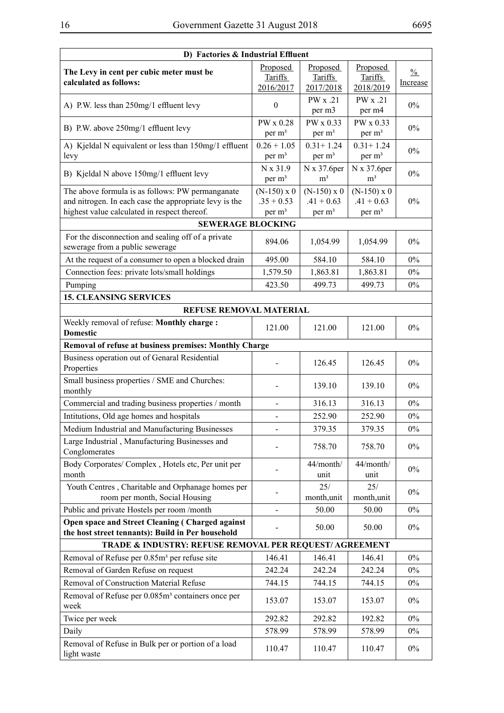| D) Factories & Industrial Effluent                                                                   |                                |                                  |                                  |               |  |  |
|------------------------------------------------------------------------------------------------------|--------------------------------|----------------------------------|----------------------------------|---------------|--|--|
| The Levy in cent per cubic meter must be                                                             | Proposed                       | Proposed                         | Proposed                         | $\frac{0}{0}$ |  |  |
| calculated as follows:                                                                               | Tariffs<br>2016/2017           | Tariffs<br>2017/2018             | Tariffs<br>2018/2019             | Increase      |  |  |
|                                                                                                      |                                | PW x .21                         | PW x .21                         |               |  |  |
| A) P.W. less than 250mg/1 effluent levy                                                              | $\theta$                       | per m3                           | per m4                           | $0\%$         |  |  |
|                                                                                                      | PW x 0.28                      | PW x 0.33                        | PW x 0.33                        |               |  |  |
| B) P.W. above 250mg/1 effluent levy                                                                  | per m <sup>3</sup>             | per m <sup>3</sup>               | per m <sup>3</sup>               | $0\%$         |  |  |
| A) Kjeldal N equivalent or less than 150mg/1 effluent                                                | $0.26 + 1.05$                  | $0.31 + 1.24$                    | $0.31 + 1.24$                    | $0\%$         |  |  |
| levy                                                                                                 | per m <sup>3</sup>             | per m <sup>3</sup>               | per m <sup>3</sup>               |               |  |  |
| B) Kjeldal N above 150mg/1 effluent levy                                                             | N x 31.9<br>per m <sup>3</sup> | $N x 37.6$ per<br>m <sup>3</sup> | $N x 37.6$ per<br>m <sup>3</sup> | $0\%$         |  |  |
| The above formula is as follows: PW permanganate                                                     | $(N-150) \times 0$             | $(N-150) \times 0$               | $(N-150)$ x 0                    |               |  |  |
| and nitrogen. In each case the appropriate levy is the                                               | $.35 + 0.53$                   | $.41 + 0.63$                     | $.41 + 0.63$                     | $0\%$         |  |  |
| highest value calculated in respect thereof.                                                         | per m <sup>3</sup>             | per m <sup>3</sup>               | per m <sup>3</sup>               |               |  |  |
| <b>SEWERAGE BLOCKING</b>                                                                             |                                |                                  |                                  |               |  |  |
| For the disconnection and sealing off of a private<br>sewerage from a public sewerage                | 894.06                         | 1,054.99                         | 1,054.99                         | $0\%$         |  |  |
| At the request of a consumer to open a blocked drain                                                 | 495.00                         | 584.10                           | 584.10                           | $0\%$         |  |  |
| Connection fees: private lots/small holdings                                                         | 1,579.50                       | 1,863.81                         | 1,863.81                         | $0\%$         |  |  |
| Pumping                                                                                              | 423.50                         | 499.73                           | 499.73                           | $0\%$         |  |  |
| <b>15. CLEANSING SERVICES</b>                                                                        |                                |                                  |                                  |               |  |  |
| <b>REFUSE REMOVAL MATERIAL</b>                                                                       |                                |                                  |                                  |               |  |  |
| Weekly removal of refuse: Monthly charge:<br><b>Domestic</b>                                         | 121.00                         | 121.00                           | 121.00                           | $0\%$         |  |  |
| Removal of refuse at business premises: Monthly Charge                                               |                                |                                  |                                  |               |  |  |
| Business operation out of Genaral Residential<br>Properties                                          |                                | 126.45                           | 126.45                           | $0\%$         |  |  |
| Small business properties / SME and Churches:<br>monthly                                             |                                | 139.10                           | 139.10                           | 0%            |  |  |
| Commercial and trading business properties / month                                                   | $\overline{\phantom{a}}$       | 316.13                           | 316.13                           | $0\%$         |  |  |
| Intitutions, Old age homes and hospitals                                                             |                                | 252.90                           | 252.90                           | $0\%$         |  |  |
| Medium Industrial and Manufacturing Businesses                                                       |                                | 379.35                           | 379.35                           | $0\%$         |  |  |
| Large Industrial, Manufacturing Businesses and<br>Conglomerates                                      |                                | 758.70                           | 758.70                           | $0\%$         |  |  |
| Body Corporates/Complex, Hotels etc, Per unit per<br>month                                           |                                | 44/month/<br>unit                | 44/month/<br>unit                | $0\%$         |  |  |
| Youth Centres, Charitable and Orphanage homes per<br>room per month, Social Housing                  |                                | 25/<br>month, unit               | 25/<br>month, unit               | $0\%$         |  |  |
| Public and private Hostels per room /month                                                           |                                | 50.00                            | 50.00                            | $0\%$         |  |  |
| Open space and Street Cleaning (Charged against<br>the host street tennants): Build in Per household |                                | 50.00                            | 50.00                            | $0\%$         |  |  |
| TRADE & INDUSTRY: REFUSE REMOVAL PER REQUEST/AGREEMENT                                               |                                |                                  |                                  |               |  |  |
| Removal of Refuse per 0.85m <sup>3</sup> per refuse site                                             | 146.41                         | 146.41                           | 146.41                           | $0\%$         |  |  |
| Removal of Garden Refuse on request                                                                  | 242.24                         | 242.24                           | 242.24                           | $0\%$         |  |  |
| Removal of Construction Material Refuse                                                              | 744.15                         | 744.15                           | 744.15                           | $0\%$         |  |  |
| Removal of Refuse per 0.085m <sup>3</sup> containers once per<br>week                                | 153.07                         | 153.07                           | 153.07                           | $0\%$         |  |  |
| Twice per week                                                                                       | 292.82                         | 292.82                           | 192.82                           | $0\%$         |  |  |
| Daily                                                                                                | 578.99                         | 578.99                           | 578.99                           | $0\%$         |  |  |
| Removal of Refuse in Bulk per or portion of a load<br>light waste                                    | 110.47                         | 110.47                           | 110.47                           | $0\%$         |  |  |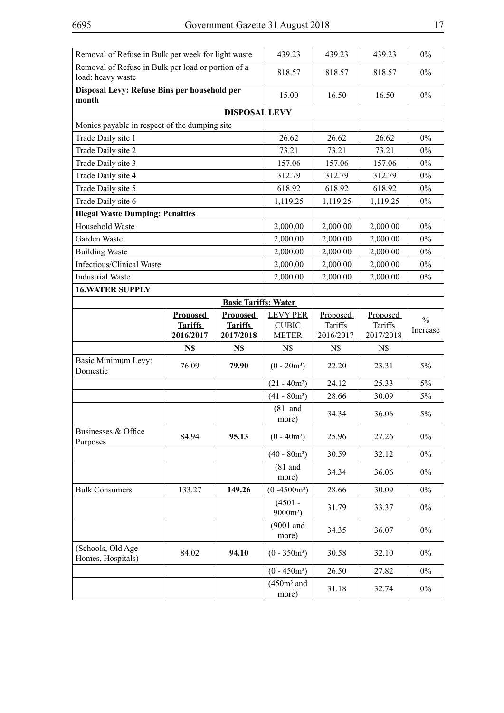| Removal of Refuse in Bulk per week for light waste                      |                                                | 439.23                                         | 439.23                                          | 439.23                                  | $0\%$                                   |                           |
|-------------------------------------------------------------------------|------------------------------------------------|------------------------------------------------|-------------------------------------------------|-----------------------------------------|-----------------------------------------|---------------------------|
| Removal of Refuse in Bulk per load or portion of a<br>load: heavy waste |                                                |                                                | 818.57                                          | 818.57                                  | 818.57                                  | $0\%$                     |
| Disposal Levy: Refuse Bins per household per<br>month                   |                                                |                                                | 15.00                                           | 16.50                                   | 16.50                                   | $0\%$                     |
|                                                                         |                                                | <b>DISPOSAL LEVY</b>                           |                                                 |                                         |                                         |                           |
| Monies payable in respect of the dumping site                           |                                                |                                                |                                                 |                                         |                                         |                           |
| Trade Daily site 1                                                      |                                                |                                                | 26.62                                           | 26.62                                   | 26.62                                   | $0\%$                     |
| Trade Daily site 2                                                      |                                                |                                                | 73.21                                           | 73.21                                   | 73.21                                   | $0\%$                     |
| Trade Daily site 3                                                      |                                                |                                                | 157.06                                          | 157.06                                  | 157.06                                  | $0\%$                     |
| Trade Daily site 4                                                      |                                                |                                                | 312.79                                          | 312.79                                  | 312.79                                  | $0\%$                     |
| Trade Daily site 5                                                      |                                                |                                                | 618.92                                          | 618.92                                  | 618.92                                  | $0\%$                     |
| Trade Daily site 6                                                      |                                                |                                                | 1,119.25                                        | 1,119.25                                | 1,119.25                                | $0\%$                     |
| <b>Illegal Waste Dumping: Penalties</b>                                 |                                                |                                                |                                                 |                                         |                                         |                           |
| Household Waste                                                         |                                                |                                                | 2,000.00                                        | 2,000.00                                | 2,000.00                                | $0\%$                     |
| Garden Waste                                                            |                                                |                                                | 2,000.00                                        | 2,000.00                                | 2,000.00                                | $0\%$                     |
| <b>Building Waste</b>                                                   |                                                |                                                | 2,000.00                                        | 2,000.00                                | 2,000.00                                | $0\%$                     |
| Infectious/Clinical Waste                                               |                                                |                                                | 2,000.00                                        | 2,000.00                                | 2,000.00                                | $0\%$                     |
| <b>Industrial Waste</b>                                                 |                                                |                                                | 2,000.00                                        | 2,000.00                                | 2,000.00                                | $0\%$                     |
| <b>16. WATER SUPPLY</b>                                                 |                                                |                                                |                                                 |                                         |                                         |                           |
|                                                                         |                                                | <b>Basic Tariffs: Water</b>                    |                                                 |                                         |                                         |                           |
|                                                                         | <b>Proposed</b><br><b>Tariffs</b><br>2016/2017 | <b>Proposed</b><br><b>Tariffs</b><br>2017/2018 | <b>LEVY PER</b><br><b>CUBIC</b><br><b>METER</b> | Proposed<br><b>Tariffs</b><br>2016/2017 | Proposed<br><b>Tariffs</b><br>2017/2018 | $\frac{0}{0}$<br>Increase |
|                                                                         | N\$                                            | N\$                                            | N\$                                             | N\$                                     | N\$                                     |                           |
| Basic Minimum Levy:<br>Domestic                                         | 76.09                                          | 79.90                                          | $(0 - 20m^3)$                                   | 22.20                                   | 23.31                                   | 5%                        |
|                                                                         |                                                |                                                | $(21 - 40m^3)$                                  | 24.12                                   | 25.33                                   | 5%                        |
|                                                                         |                                                |                                                | $(41 - 80m3)$                                   | 28.66                                   | 30.09                                   | 5%                        |
|                                                                         |                                                |                                                | $(81$ and<br>more)                              | 34.34                                   | 36.06                                   | 5%                        |
| Businesses & Office<br>Purposes                                         | 84.94                                          | 95.13                                          | $(0 - 40m^3)$                                   | 25.96                                   | 27.26                                   | $0\%$                     |
|                                                                         |                                                |                                                | $(40 - 80m^3)$                                  | 30.59                                   | 32.12                                   | $0\%$                     |
|                                                                         |                                                |                                                | $(81$ and<br>more)                              | 34.34                                   | 36.06                                   | $0\%$                     |
| <b>Bulk Consumers</b>                                                   | 133.27                                         | 149.26                                         | $(0 -4500m^3)$                                  | 28.66                                   | 30.09                                   | $0\%$                     |
|                                                                         |                                                |                                                | $(4501 -$<br>$9000m^3$ )                        | 31.79                                   | 33.37                                   | $0\%$                     |
|                                                                         |                                                |                                                | (9001 and<br>more)                              | 34.35                                   | 36.07                                   | $0\%$                     |
| (Schools, Old Age<br>Homes, Hospitals)                                  | 84.02                                          | 94.10                                          | $(0 - 350m^3)$                                  | 30.58                                   | 32.10                                   | $0\%$                     |
|                                                                         |                                                |                                                | $(0 - 450m^3)$                                  | 26.50                                   | 27.82                                   | $0\%$                     |
|                                                                         |                                                |                                                | $(450m3$ and<br>more)                           | 31.18                                   | 32.74                                   | $0\%$                     |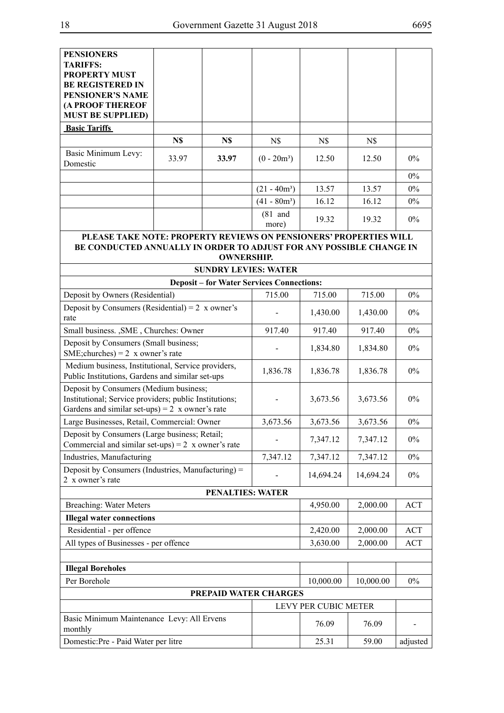| <b>PENSIONERS</b>                                                                                                |       |                                                  |                    |                      |           |            |
|------------------------------------------------------------------------------------------------------------------|-------|--------------------------------------------------|--------------------|----------------------|-----------|------------|
| <b>TARIFFS:</b>                                                                                                  |       |                                                  |                    |                      |           |            |
| <b>PROPERTY MUST</b>                                                                                             |       |                                                  |                    |                      |           |            |
| <b>BE REGISTERED IN</b>                                                                                          |       |                                                  |                    |                      |           |            |
| <b>PENSIONER'S NAME</b><br>(A PROOF THEREOF                                                                      |       |                                                  |                    |                      |           |            |
| <b>MUST BE SUPPLIED)</b>                                                                                         |       |                                                  |                    |                      |           |            |
| <b>Basic Tariffs</b>                                                                                             |       |                                                  |                    |                      |           |            |
|                                                                                                                  | N\$   | N\$                                              | N\$                | N\$                  | N\$       |            |
| Basic Minimum Levy:<br>Domestic                                                                                  | 33.97 | 33.97                                            | $(0 - 20m^3)$      | 12.50                | 12.50     | $0\%$      |
|                                                                                                                  |       |                                                  |                    |                      |           | $0\%$      |
|                                                                                                                  |       |                                                  | $(21 - 40m^3)$     | 13.57                | 13.57     | $0\%$      |
|                                                                                                                  |       |                                                  | $(41 - 80m^3)$     | 16.12                | 16.12     | $0\%$      |
|                                                                                                                  |       |                                                  | $(81$ and<br>more) | 19.32                | 19.32     | $0\%$      |
| PLEASE TAKE NOTE: PROPERTY REVIEWS ON PENSIONERS' PROPERTIES WILL                                                |       |                                                  |                    |                      |           |            |
| BE CONDUCTED ANNUALLY IN ORDER TO ADJUST FOR ANY POSSIBLE CHANGE IN                                              |       |                                                  |                    |                      |           |            |
|                                                                                                                  |       | <b>OWNERSHIP.</b><br><b>SUNDRY LEVIES: WATER</b> |                    |                      |           |            |
|                                                                                                                  |       | <b>Deposit - for Water Services Connections:</b> |                    |                      |           |            |
| Deposit by Owners (Residential)                                                                                  |       |                                                  | 715.00             | 715.00               | 715.00    | $0\%$      |
| Deposit by Consumers (Residential) = $2 \times$ owner's                                                          |       |                                                  |                    | 1,430.00             | 1,430.00  | $0\%$      |
| rate<br>Small business. , SME, Churches: Owner                                                                   |       |                                                  | 917.40             | 917.40               | 917.40    | $0\%$      |
| Deposit by Consumers (Small business;                                                                            |       |                                                  |                    |                      |           |            |
| SME; churches $= 2 x$ owner's rate                                                                               |       |                                                  |                    | 1,834.80             | 1,834.80  | $0\%$      |
| Medium business, Institutional, Service providers,<br>Public Institutions, Gardens and similar set-ups           |       |                                                  | 1,836.78           | 1,836.78             | 1,836.78  | $0\%$      |
| Deposit by Consumers (Medium business;                                                                           |       |                                                  |                    |                      |           |            |
| Institutional; Service providers; public Institutions;<br>Gardens and similar set-ups) = $2 \times$ owner's rate |       |                                                  |                    | 3,673.56             | 3,673.56  | $0\%$      |
| Large Businesses, Retail, Commercial: Owner                                                                      |       |                                                  | 3,673.56           | 3,673.56             | 3,673.56  | $0\%$      |
| Deposit by Consumers (Large business; Retail;                                                                    |       |                                                  |                    | 7,347.12             | 7,347.12  | $0\%$      |
| Commercial and similar set-ups) = $2 \times$ owner's rate                                                        |       |                                                  |                    |                      |           |            |
| Industries, Manufacturing                                                                                        |       |                                                  | 7,347.12           | 7,347.12             | 7,347.12  | $0\%$      |
| Deposit by Consumers (Industries, Manufacturing) =<br>2 x owner's rate                                           |       |                                                  |                    | 14,694.24            | 14,694.24 | $0\%$      |
|                                                                                                                  |       | <b>PENALTIES: WATER</b>                          |                    |                      |           |            |
| Breaching: Water Meters                                                                                          |       |                                                  |                    | 4,950.00             | 2,000.00  | <b>ACT</b> |
| <b>Illegal water connections</b>                                                                                 |       |                                                  |                    |                      |           |            |
| Residential - per offence                                                                                        |       |                                                  |                    | 2,420.00             | 2,000.00  | ACT        |
| All types of Businesses - per offence                                                                            |       |                                                  |                    | 3,630.00             | 2,000.00  | <b>ACT</b> |
|                                                                                                                  |       |                                                  |                    |                      |           |            |
| <b>Illegal Boreholes</b><br>Per Borehole                                                                         |       |                                                  |                    |                      |           | $0\%$      |
|                                                                                                                  |       | PREPAID WATER CHARGES                            |                    | 10,000.00            | 10,000.00 |            |
|                                                                                                                  |       |                                                  |                    | LEVY PER CUBIC METER |           |            |
| Basic Minimum Maintenance Levy: All Ervens<br>monthly                                                            |       |                                                  |                    | 76.09                | 76.09     |            |
| Domestic:Pre - Paid Water per litre                                                                              |       |                                                  |                    | 25.31                | 59.00     | adjusted   |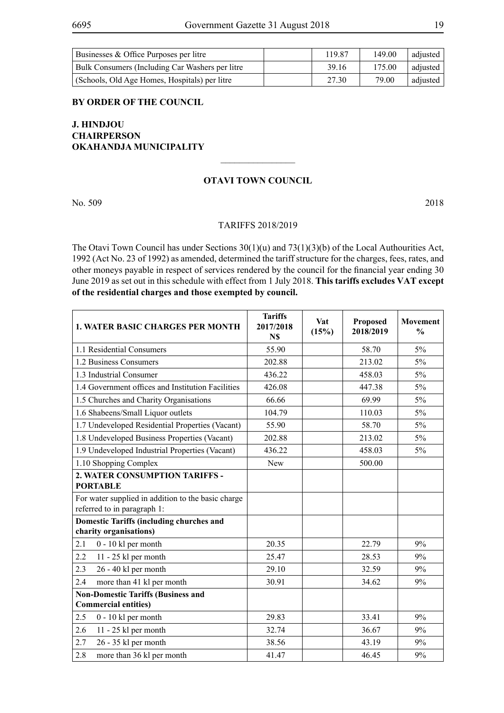| Businesses & Office Purposes per litre          | 119 87 | 149.00 | adiusted |
|-------------------------------------------------|--------|--------|----------|
| Bulk Consumers (Including Car Washers per litre | 39.16  | 175.00 | adjusted |
| (Schools, Old Age Homes, Hospitals) per litre   | 27.30  | 79.00  | adjusted |

#### **BY ORDER OF THE COUNCIL**

## **J. HINDJOU CHAIRPERSON OKAHANDJA MUNICIPALITY**

#### **OTAVI TOWN COUNCIL**

 $\overline{\phantom{a}}$  , where  $\overline{\phantom{a}}$ 

No. 509 2018

#### TARIFFS 2018/2019

The Otavi Town Council has under Sections 30(1)(u) and 73(1)(3)(b) of the Local Authourities Act, 1992 (Act No. 23 of 1992) as amended, determined the tariff structure for the charges, fees, rates, and other moneys payable in respect of services rendered by the council for the financial year ending 30 June 2019 as set out in this schedule with effect from 1 July 2018. **This tariffs excludes VAT except of the residential charges and those exempted by council.**

| <b>1. WATER BASIC CHARGES PER MONTH</b>                                           | <b>Tariffs</b><br>2017/2018<br>N\$ | Vat<br>(15%) | <b>Proposed</b><br>2018/2019 | <b>Movement</b><br>$\frac{0}{0}$ |
|-----------------------------------------------------------------------------------|------------------------------------|--------------|------------------------------|----------------------------------|
| 1.1 Residential Consumers                                                         | 55.90                              |              | 58.70                        | 5%                               |
| 1.2 Business Consumers                                                            | 202.88                             |              | 213.02                       | 5%                               |
| 1.3 Industrial Consumer                                                           | 436.22                             |              | 458.03                       | 5%                               |
| 1.4 Government offices and Institution Facilities                                 | 426.08                             |              | 447.38                       | 5%                               |
| 1.5 Churches and Charity Organisations                                            | 66.66                              |              | 69.99                        | 5%                               |
| 1.6 Shabeens/Small Liquor outlets                                                 | 104.79                             |              | 110.03                       | 5%                               |
| 1.7 Undeveloped Residential Properties (Vacant)                                   | 55.90                              |              | 58.70                        | 5%                               |
| 1.8 Undeveloped Business Properties (Vacant)                                      | 202.88                             |              | 213.02                       | 5%                               |
| 1.9 Undeveloped Industrial Properties (Vacant)                                    | 436.22                             |              | 458.03                       | 5%                               |
| 1.10 Shopping Complex                                                             | New                                |              | 500.00                       |                                  |
| 2. WATER CONSUMPTION TARIFFS -<br><b>PORTABLE</b>                                 |                                    |              |                              |                                  |
| For water supplied in addition to the basic charge<br>referred to in paragraph 1: |                                    |              |                              |                                  |
| <b>Domestic Tariffs (including churches and</b><br>charity organisations)         |                                    |              |                              |                                  |
| 2.1<br>0 - 10 kl per month                                                        | 20.35                              |              | 22.79                        | 9%                               |
| 2.2<br>11 - 25 kl per month                                                       | 25.47                              |              | 28.53                        | 9%                               |
| 2.3<br>26 - 40 kl per month                                                       | 29.10                              |              | 32.59                        | 9%                               |
| more than 41 kl per month<br>2.4                                                  | 30.91                              |              | 34.62                        | 9%                               |
| <b>Non-Domestic Tariffs (Business and</b><br><b>Commercial entities)</b>          |                                    |              |                              |                                  |
| 2.5<br>$0 - 10$ kl per month                                                      | 29.83                              |              | 33.41                        | 9%                               |
| 2.6<br>11 - 25 kl per month                                                       | 32.74                              |              | 36.67                        | 9%                               |
| 2.7<br>26 - 35 kl per month                                                       | 38.56                              |              | 43.19                        | 9%                               |
| 2.8<br>more than 36 kl per month                                                  | 41.47                              |              | 46.45                        | 9%                               |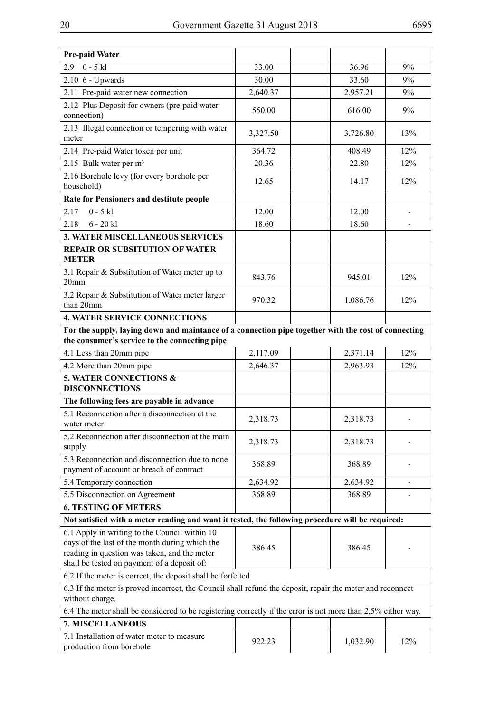| Pre-paid Water                                                                                                                                                                                 |          |  |          |     |  |
|------------------------------------------------------------------------------------------------------------------------------------------------------------------------------------------------|----------|--|----------|-----|--|
| $0 - 5$ kl<br>2.9                                                                                                                                                                              | 33.00    |  | 36.96    | 9%  |  |
| $2.10\text{ }6$ - Upwards                                                                                                                                                                      | 30.00    |  | 33.60    | 9%  |  |
| 2.11 Pre-paid water new connection                                                                                                                                                             | 2,640.37 |  | 2,957.21 | 9%  |  |
| 2.12 Plus Deposit for owners (pre-paid water<br>connection)                                                                                                                                    | 550.00   |  | 616.00   | 9%  |  |
| 2.13 Illegal connection or tempering with water<br>meter                                                                                                                                       | 3,327.50 |  | 3,726.80 | 13% |  |
| 2.14 Pre-paid Water token per unit                                                                                                                                                             | 364.72   |  | 408.49   | 12% |  |
| 2.15 Bulk water per m <sup>3</sup>                                                                                                                                                             | 20.36    |  | 22.80    | 12% |  |
| 2.16 Borehole levy (for every borehole per<br>household)                                                                                                                                       | 12.65    |  | 14.17    | 12% |  |
| Rate for Pensioners and destitute people                                                                                                                                                       |          |  |          |     |  |
| 2.17<br>$0 - 5$ kl                                                                                                                                                                             | 12.00    |  | 12.00    |     |  |
| 2.18<br>$6 - 20$ kl                                                                                                                                                                            | 18.60    |  | 18.60    |     |  |
| <b>3. WATER MISCELLANEOUS SERVICES</b>                                                                                                                                                         |          |  |          |     |  |
| <b>REPAIR OR SUBSITUTION OF WATER</b>                                                                                                                                                          |          |  |          |     |  |
| <b>METER</b>                                                                                                                                                                                   |          |  |          |     |  |
| 3.1 Repair & Substitution of Water meter up to<br>20 <sub>mm</sub>                                                                                                                             | 843.76   |  | 945.01   | 12% |  |
| 3.2 Repair & Substitution of Water meter larger<br>than 20mm                                                                                                                                   | 970.32   |  | 1,086.76 | 12% |  |
| <b>4. WATER SERVICE CONNECTIONS</b>                                                                                                                                                            |          |  |          |     |  |
| For the supply, laying down and maintance of a connection pipe together with the cost of connecting<br>the consumer's service to the connecting pipe                                           |          |  |          |     |  |
| 4.1 Less than 20mm pipe                                                                                                                                                                        | 2,117.09 |  | 2,371.14 | 12% |  |
| 4.2 More than 20mm pipe                                                                                                                                                                        | 2,646.37 |  | 2,963.93 | 12% |  |
| 5. WATER CONNECTIONS &<br><b>DISCONNECTIONS</b>                                                                                                                                                |          |  |          |     |  |
| The following fees are payable in advance                                                                                                                                                      |          |  |          |     |  |
| 5.1 Reconnection after a disconnection at the<br>water meter                                                                                                                                   | 2,318.73 |  | 2,318.73 |     |  |
| 5.2 Reconnection after disconnection at the main<br>supply                                                                                                                                     | 2,318.73 |  | 2,318.73 |     |  |
| 5.3 Reconnection and disconnection due to none<br>payment of account or breach of contract                                                                                                     | 368.89   |  | 368.89   |     |  |
| 5.4 Temporary connection                                                                                                                                                                       | 2,634.92 |  | 2,634.92 |     |  |
| 5.5 Disconnection on Agreement                                                                                                                                                                 | 368.89   |  | 368.89   |     |  |
| <b>6. TESTING OF METERS</b>                                                                                                                                                                    |          |  |          |     |  |
| Not satisfied with a meter reading and want it tested, the following procedure will be required:                                                                                               |          |  |          |     |  |
| 6.1 Apply in writing to the Council within 10<br>days of the last of the month during which the<br>reading in question was taken, and the meter<br>shall be tested on payment of a deposit of: | 386.45   |  | 386.45   |     |  |
| 6.2 If the meter is correct, the deposit shall be forfeited                                                                                                                                    |          |  |          |     |  |
| 6.3 If the meter is proved incorrect, the Council shall refund the deposit, repair the meter and reconnect<br>without charge.                                                                  |          |  |          |     |  |
| 6.4 The meter shall be considered to be registering correctly if the error is not more than 2,5% either way.                                                                                   |          |  |          |     |  |
| 7. MISCELLANEOUS                                                                                                                                                                               |          |  |          |     |  |
| 7.1 Installation of water meter to measure<br>production from borehole                                                                                                                         | 922.23   |  | 1,032.90 | 12% |  |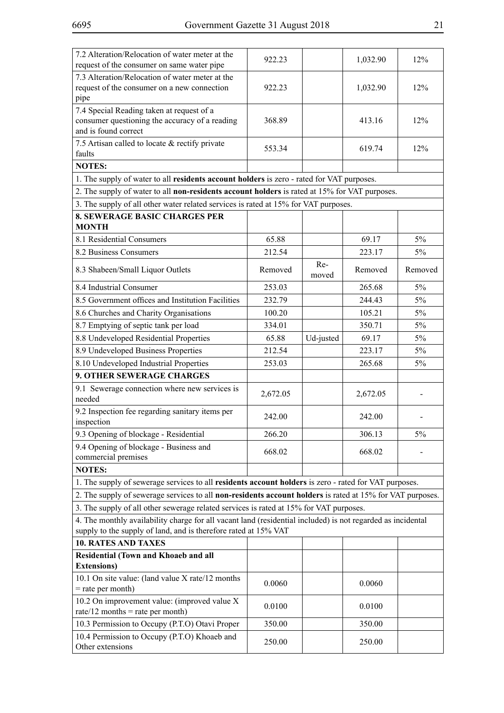| 7.2 Alteration/Relocation of water meter at the<br>request of the consumer on same water pipe                                                                                  | 922.23   |              | 1,032.90 | 12%     |
|--------------------------------------------------------------------------------------------------------------------------------------------------------------------------------|----------|--------------|----------|---------|
| 7.3 Alteration/Relocation of water meter at the<br>request of the consumer on a new connection<br>pipe                                                                         | 922.23   |              | 1,032.90 | 12%     |
| 7.4 Special Reading taken at request of a<br>consumer questioning the accuracy of a reading<br>and is found correct                                                            | 368.89   |              | 413.16   | 12%     |
| 7.5 Artisan called to locate & rectify private<br>faults                                                                                                                       | 553.34   |              | 619.74   | 12%     |
| <b>NOTES:</b>                                                                                                                                                                  |          |              |          |         |
| 1. The supply of water to all residents account holders is zero - rated for VAT purposes.                                                                                      |          |              |          |         |
| 2. The supply of water to all non-residents account holders is rated at 15% for VAT purposes.                                                                                  |          |              |          |         |
| 3. The supply of all other water related services is rated at 15% for VAT purposes.                                                                                            |          |              |          |         |
| <b>8. SEWERAGE BASIC CHARGES PER</b><br><b>MONTH</b>                                                                                                                           |          |              |          |         |
| 8.1 Residential Consumers                                                                                                                                                      | 65.88    |              | 69.17    | 5%      |
| 8.2 Business Consumers                                                                                                                                                         | 212.54   |              | 223.17   | 5%      |
| 8.3 Shabeen/Small Liquor Outlets                                                                                                                                               | Removed  | Re-<br>moved | Removed  | Removed |
| 8.4 Industrial Consumer                                                                                                                                                        | 253.03   |              | 265.68   | 5%      |
| 8.5 Government offices and Institution Facilities                                                                                                                              | 232.79   |              | 244.43   | 5%      |
| 8.6 Churches and Charity Organisations                                                                                                                                         | 100.20   |              | 105.21   | 5%      |
| 8.7 Emptying of septic tank per load                                                                                                                                           | 334.01   |              | 350.71   | 5%      |
| 8.8 Undeveloped Residential Properties                                                                                                                                         | 65.88    | Ud-justed    | 69.17    | 5%      |
| 8.9 Undeveloped Business Properties                                                                                                                                            | 212.54   |              | 223.17   | 5%      |
| 8.10 Undeveloped Industrial Properties                                                                                                                                         | 253.03   |              | 265.68   | 5%      |
| <b>9. OTHER SEWERAGE CHARGES</b>                                                                                                                                               |          |              |          |         |
| 9.1 Sewerage connection where new services is<br>needed                                                                                                                        | 2,672.05 |              | 2,672.05 |         |
| 9.2 Inspection fee regarding sanitary items per<br>inspection                                                                                                                  | 242.00   |              | 242.00   |         |
| 9.3 Opening of blockage - Residential                                                                                                                                          | 266.20   |              | 306.13   | 5%      |
| 9.4 Opening of blockage - Business and<br>commercial premises                                                                                                                  | 668.02   |              | 668.02   |         |
| <b>NOTES:</b>                                                                                                                                                                  |          |              |          |         |
| 1. The supply of sewerage services to all residents account holders is zero - rated for VAT purposes.                                                                          |          |              |          |         |
| 2. The supply of sewerage services to all non-residents account holders is rated at 15% for VAT purposes.                                                                      |          |              |          |         |
| 3. The supply of all other sewerage related services is rated at 15% for VAT purposes.                                                                                         |          |              |          |         |
| 4. The monthly availability charge for all vacant land (residential included) is not regarded as incidental<br>supply to the supply of land, and is therefore rated at 15% VAT |          |              |          |         |
| <b>10. RATES AND TAXES</b>                                                                                                                                                     |          |              |          |         |
| Residential (Town and Khoaeb and all<br><b>Extensions</b> )                                                                                                                    |          |              |          |         |
| 10.1 On site value: (land value X rate/12 months)<br>$=$ rate per month)                                                                                                       | 0.0060   |              | 0.0060   |         |
| 10.2 On improvement value: (improved value X<br>rate/12 months = rate per month)                                                                                               | 0.0100   |              | 0.0100   |         |
| 10.3 Permission to Occupy (P.T.O) Otavi Proper                                                                                                                                 | 350.00   |              | 350.00   |         |
| 10.4 Permission to Occupy (P.T.O) Khoaeb and<br>Other extensions                                                                                                               | 250.00   |              | 250.00   |         |
|                                                                                                                                                                                |          |              |          |         |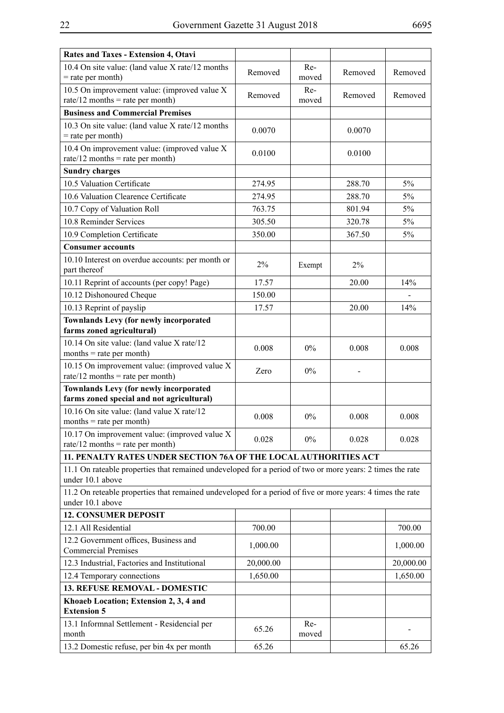| Rates and Taxes - Extension 4, Otavi                                                                                           |           |              |         |           |
|--------------------------------------------------------------------------------------------------------------------------------|-----------|--------------|---------|-----------|
| 10.4 On site value: (land value X rate/12 months                                                                               | Removed   | Re-          | Removed | Removed   |
| $=$ rate per month)                                                                                                            |           | moved        |         |           |
| 10.5 On improvement value: (improved value X                                                                                   | Removed   | Re-          | Removed | Removed   |
| rate/12 months = rate per month)                                                                                               |           | moved        |         |           |
| <b>Business and Commercial Premises</b>                                                                                        |           |              |         |           |
| 10.3 On site value: (land value X rate/12 months)<br>$=$ rate per month)                                                       | 0.0070    |              | 0.0070  |           |
| 10.4 On improvement value: (improved value X<br>rate/12 months = rate per month)                                               | 0.0100    |              | 0.0100  |           |
| <b>Sundry charges</b>                                                                                                          |           |              |         |           |
| 10.5 Valuation Certificate                                                                                                     | 274.95    |              | 288.70  | 5%        |
| 10.6 Valuation Clearence Certificate                                                                                           | 274.95    |              | 288.70  | 5%        |
| 10.7 Copy of Valuation Roll                                                                                                    | 763.75    |              | 801.94  | 5%        |
| 10.8 Reminder Services                                                                                                         | 305.50    |              | 320.78  | 5%        |
| 10.9 Completion Certificate                                                                                                    | 350.00    |              | 367.50  | 5%        |
| <b>Consumer accounts</b>                                                                                                       |           |              |         |           |
| 10.10 Interest on overdue accounts: per month or<br>part thereof                                                               | 2%        | Exempt       | $2\%$   |           |
| 10.11 Reprint of accounts (per copy! Page)                                                                                     | 17.57     |              | 20.00   | 14%       |
| 10.12 Dishonoured Cheque                                                                                                       | 150.00    |              |         |           |
| 10.13 Reprint of payslip                                                                                                       | 17.57     |              | 20.00   | 14%       |
| <b>Townlands Levy (for newly incorporated</b>                                                                                  |           |              |         |           |
| farms zoned agricultural)                                                                                                      |           |              |         |           |
| 10.14 On site value: (land value X rate/12)<br>$months = rate per month)$                                                      | 0.008     | $0\%$        | 0.008   | 0.008     |
| 10.15 On improvement value: (improved value X<br>rate/12 months = rate per month)                                              | Zero      | $0\%$        |         |           |
| <b>Townlands Levy (for newly incorporated</b>                                                                                  |           |              |         |           |
| farms zoned special and not agricultural)                                                                                      |           |              |         |           |
| 10.16 On site value: (land value X rate/12)<br>$months = rate per month)$                                                      | 0.008     | 0%           | 0.008   | 0.008     |
| 10.17 On improvement value: (improved value X<br>rate/12 months = rate per month)                                              | 0.028     | $0\%$        | 0.028   | 0.028     |
| 11. PENALTY RATES UNDER SECTION 76A OF THE LOCAL AUTHORITIES ACT                                                               |           |              |         |           |
| 11.1 On rateable properties that remained undeveloped for a period of two or more years: 2 times the rate<br>under 10.1 above  |           |              |         |           |
| 11.2 On reteable properties that remained undeveloped for a period of five or more years: 4 times the rate<br>under 10.1 above |           |              |         |           |
| <b>12. CONSUMER DEPOSIT</b>                                                                                                    |           |              |         |           |
| 12.1 All Residential                                                                                                           | 700.00    |              |         | 700.00    |
| 12.2 Government offices, Business and                                                                                          | 1,000.00  |              |         | 1,000.00  |
| <b>Commercial Premises</b>                                                                                                     |           |              |         |           |
| 12.3 Industrial, Factories and Institutional                                                                                   | 20,000.00 |              |         | 20,000.00 |
| 12.4 Temporary connections                                                                                                     | 1,650.00  |              |         | 1,650.00  |
| 13. REFUSE REMOVAL - DOMESTIC                                                                                                  |           |              |         |           |
| Khoaeb Location; Extension 2, 3, 4 and<br><b>Extension 5</b>                                                                   |           |              |         |           |
| 13.1 Informnal Settlement - Residencial per<br>month                                                                           | 65.26     | Re-<br>moved |         |           |
| 13.2 Domestic refuse, per bin 4x per month                                                                                     | 65.26     |              |         | 65.26     |
|                                                                                                                                |           |              |         |           |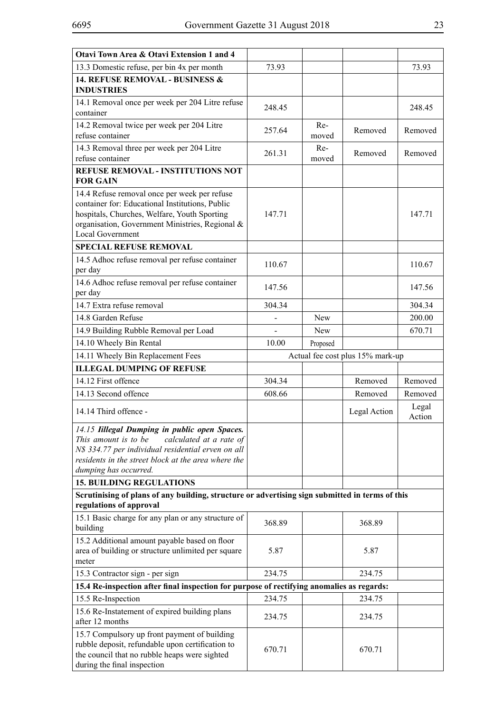| Otavi Town Area & Otavi Extension 1 and 4                                                                                                                                                                                              |        |              |                                  |                 |
|----------------------------------------------------------------------------------------------------------------------------------------------------------------------------------------------------------------------------------------|--------|--------------|----------------------------------|-----------------|
| 13.3 Domestic refuse, per bin 4x per month                                                                                                                                                                                             | 73.93  |              |                                  | 73.93           |
| <b>14. REFUSE REMOVAL - BUSINESS &amp;</b><br><b>INDUSTRIES</b>                                                                                                                                                                        |        |              |                                  |                 |
| 14.1 Removal once per week per 204 Litre refuse<br>container                                                                                                                                                                           | 248.45 |              |                                  | 248.45          |
| 14.2 Removal twice per week per 204 Litre<br>refuse container                                                                                                                                                                          | 257.64 | Re-<br>moved | Removed                          | Removed         |
| 14.3 Removal three per week per 204 Litre<br>refuse container                                                                                                                                                                          | 261.31 | Re-<br>moved | Removed                          | Removed         |
| REFUSE REMOVAL - INSTITUTIONS NOT                                                                                                                                                                                                      |        |              |                                  |                 |
| <b>FOR GAIN</b>                                                                                                                                                                                                                        |        |              |                                  |                 |
| 14.4 Refuse removal once per week per refuse<br>container for: Educational Institutions, Public<br>hospitals, Churches, Welfare, Youth Sporting<br>organisation, Government Ministries, Regional &<br><b>Local Government</b>          | 147.71 |              |                                  | 147.71          |
| <b>SPECIAL REFUSE REMOVAL</b>                                                                                                                                                                                                          |        |              |                                  |                 |
| 14.5 Adhoc refuse removal per refuse container<br>per day                                                                                                                                                                              | 110.67 |              |                                  | 110.67          |
| 14.6 Adhoc refuse removal per refuse container<br>per day                                                                                                                                                                              | 147.56 |              |                                  | 147.56          |
| 14.7 Extra refuse removal                                                                                                                                                                                                              | 304.34 |              |                                  | 304.34          |
| 14.8 Garden Refuse                                                                                                                                                                                                                     |        | New          |                                  | 200.00          |
| 14.9 Building Rubble Removal per Load                                                                                                                                                                                                  |        | <b>New</b>   |                                  | 670.71          |
| 14.10 Wheely Bin Rental                                                                                                                                                                                                                | 10.00  | Proposed     |                                  |                 |
| 14.11 Wheely Bin Replacement Fees                                                                                                                                                                                                      |        |              | Actual fee cost plus 15% mark-up |                 |
| <b>ILLEGAL DUMPING OF REFUSE</b>                                                                                                                                                                                                       |        |              |                                  |                 |
| 14.12 First offence                                                                                                                                                                                                                    | 304.34 |              | Removed                          | Removed         |
| 14.13 Second offence                                                                                                                                                                                                                   | 608.66 |              | Removed                          | Removed         |
| 14.14 Third offence -                                                                                                                                                                                                                  |        |              | Legal Action                     | Legal<br>Action |
| 14.15 Iillegal Dumping in public open Spaces.<br>This amount is to be<br>calculated at a rate of<br>N\$ 334.77 per individual residential erven on all<br>residents in the street block at the area where the<br>dumping has occurred. |        |              |                                  |                 |
| <b>15. BUILDING REGULATIONS</b>                                                                                                                                                                                                        |        |              |                                  |                 |
| Scrutinising of plans of any building, structure or advertising sign submitted in terms of this                                                                                                                                        |        |              |                                  |                 |
| regulations of approval                                                                                                                                                                                                                |        |              |                                  |                 |
| 15.1 Basic charge for any plan or any structure of<br>building                                                                                                                                                                         | 368.89 |              | 368.89                           |                 |
| 15.2 Additional amount payable based on floor<br>area of building or structure unlimited per square<br>meter                                                                                                                           | 5.87   |              | 5.87                             |                 |
| 15.3 Contractor sign - per sign                                                                                                                                                                                                        | 234.75 |              | 234.75                           |                 |
| 15.4 Re-inspection after final inspection for purpose of rectifying anomalies as regards:                                                                                                                                              |        |              |                                  |                 |
| 15.5 Re-Inspection                                                                                                                                                                                                                     | 234.75 |              | 234.75                           |                 |
| 15.6 Re-Instatement of expired building plans<br>after 12 months                                                                                                                                                                       | 234.75 |              | 234.75                           |                 |
| 15.7 Compulsory up front payment of building<br>rubble deposit, refundable upon certification to<br>the council that no rubble heaps were sighted<br>during the final inspection                                                       | 670.71 |              | 670.71                           |                 |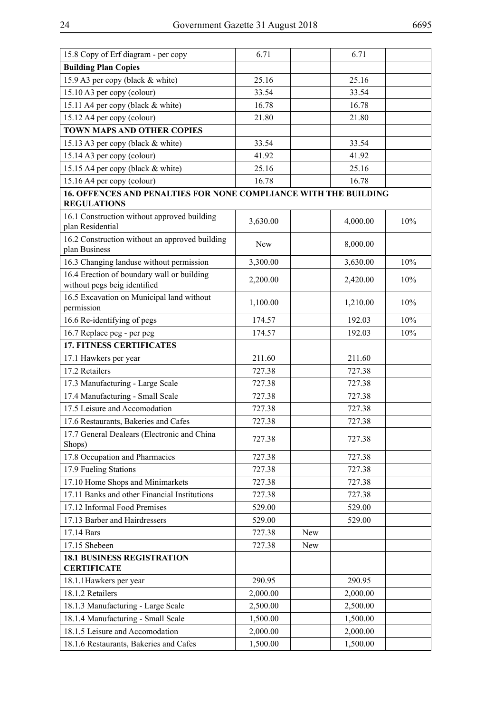| 15.8 Copy of Erf diagram - per copy                                        | 6.71     |     | 6.71     |     |
|----------------------------------------------------------------------------|----------|-----|----------|-----|
| <b>Building Plan Copies</b>                                                |          |     |          |     |
| 15.9 A3 per copy (black & white)                                           | 25.16    |     | 25.16    |     |
| 15.10 A3 per copy (colour)                                                 | 33.54    |     | 33.54    |     |
| 15.11 A4 per copy (black & white)                                          | 16.78    |     | 16.78    |     |
| 15.12 A4 per copy (colour)                                                 | 21.80    |     | 21.80    |     |
| <b>TOWN MAPS AND OTHER COPIES</b>                                          |          |     |          |     |
| 15.13 A3 per copy (black & white)                                          | 33.54    |     | 33.54    |     |
| 15.14 A3 per copy (colour)                                                 | 41.92    |     | 41.92    |     |
| 15.15 A4 per copy (black & white)                                          | 25.16    |     | 25.16    |     |
| 15.16 A4 per copy (colour)                                                 | 16.78    |     | 16.78    |     |
| 16. OFFENCES AND PENALTIES FOR NONE COMPLIANCE WITH THE BUILDING           |          |     |          |     |
| <b>REGULATIONS</b>                                                         |          |     |          |     |
| 16.1 Construction without approved building<br>plan Residential            | 3,630.00 |     | 4,000.00 | 10% |
| 16.2 Construction without an approved building<br>plan Business            | New      |     | 8,000.00 |     |
| 16.3 Changing landuse without permission                                   | 3,300.00 |     | 3,630.00 | 10% |
| 16.4 Erection of boundary wall or building<br>without pegs beig identified | 2,200.00 |     | 2,420.00 | 10% |
| 16.5 Excavation on Municipal land without<br>permission                    | 1,100.00 |     | 1,210.00 | 10% |
| 16.6 Re-identifying of pegs                                                | 174.57   |     | 192.03   | 10% |
| 16.7 Replace peg - per peg                                                 | 174.57   |     | 192.03   | 10% |
| <b>17. FITNESS CERTIFICATES</b>                                            |          |     |          |     |
| 17.1 Hawkers per year                                                      | 211.60   |     | 211.60   |     |
| 17.2 Retailers                                                             | 727.38   |     | 727.38   |     |
| 17.3 Manufacturing - Large Scale                                           | 727.38   |     | 727.38   |     |
| 17.4 Manufacturing - Small Scale                                           | 727.38   |     | 727.38   |     |
| 17.5 Leisure and Accomodation                                              | 727.38   |     | 727.38   |     |
| 17.6 Restaurants, Bakeries and Cafes                                       | 727.38   |     | 727.38   |     |
| 17.7 General Dealears (Electronic and China<br>Shops)                      | 727.38   |     | 727.38   |     |
| 17.8 Occupation and Pharmacies                                             | 727.38   |     | 727.38   |     |
| 17.9 Fueling Stations                                                      | 727.38   |     | 727.38   |     |
| 17.10 Home Shops and Minimarkets                                           | 727.38   |     | 727.38   |     |
| 17.11 Banks and other Financial Institutions                               | 727.38   |     | 727.38   |     |
| 17.12 Informal Food Premises                                               | 529.00   |     | 529.00   |     |
| 17.13 Barber and Hairdressers                                              | 529.00   |     | 529.00   |     |
| 17.14 Bars                                                                 | 727.38   | New |          |     |
| 17.15 Shebeen                                                              | 727.38   | New |          |     |
| <b>18.1 BUSINESS REGISTRATION</b><br><b>CERTIFICATE</b>                    |          |     |          |     |
| 18.1.1 Hawkers per year                                                    | 290.95   |     | 290.95   |     |
| 18.1.2 Retailers                                                           | 2,000.00 |     | 2,000.00 |     |
| 18.1.3 Manufacturing - Large Scale                                         | 2,500.00 |     | 2,500.00 |     |
| 18.1.4 Manufacturing - Small Scale                                         | 1,500.00 |     | 1,500.00 |     |
| 18.1.5 Leisure and Accomodation                                            | 2,000.00 |     | 2,000.00 |     |
| 18.1.6 Restaurants, Bakeries and Cafes                                     | 1,500.00 |     | 1,500.00 |     |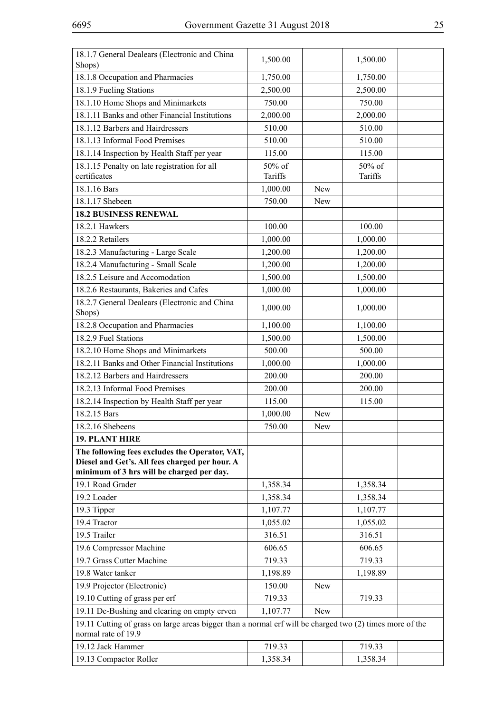| 18.1.7 General Dealears (Electronic and China<br>Shops)                                                                         | 1,500.00 |            | 1,500.00 |  |
|---------------------------------------------------------------------------------------------------------------------------------|----------|------------|----------|--|
| 18.1.8 Occupation and Pharmacies                                                                                                | 1,750.00 |            | 1,750.00 |  |
| 18.1.9 Fueling Stations                                                                                                         | 2,500.00 |            | 2,500.00 |  |
| 18.1.10 Home Shops and Minimarkets                                                                                              | 750.00   |            | 750.00   |  |
| 18.1.11 Banks and other Financial Institutions                                                                                  | 2,000.00 |            | 2,000.00 |  |
| 18.1.12 Barbers and Hairdressers                                                                                                | 510.00   |            | 510.00   |  |
| 18.1.13 Informal Food Premises                                                                                                  | 510.00   |            | 510.00   |  |
| 18.1.14 Inspection by Health Staff per year                                                                                     | 115.00   |            | 115.00   |  |
| 18.1.15 Penalty on late registration for all                                                                                    | 50% of   |            | 50% of   |  |
| certificates                                                                                                                    | Tariffs  |            | Tariffs  |  |
| 18.1.16 Bars                                                                                                                    | 1,000.00 | New        |          |  |
| 18.1.17 Shebeen                                                                                                                 | 750.00   | New        |          |  |
| <b>18.2 BUSINESS RENEWAL</b>                                                                                                    |          |            |          |  |
| 18.2.1 Hawkers                                                                                                                  | 100.00   |            | 100.00   |  |
| 18.2.2 Retailers                                                                                                                | 1,000.00 |            | 1,000.00 |  |
| 18.2.3 Manufacturing - Large Scale                                                                                              | 1,200.00 |            | 1,200.00 |  |
| 18.2.4 Manufacturing - Small Scale                                                                                              | 1,200.00 |            | 1,200.00 |  |
| 18.2.5 Leisure and Accomodation                                                                                                 | 1,500.00 |            | 1,500.00 |  |
| 18.2.6 Restaurants, Bakeries and Cafes                                                                                          | 1,000.00 |            | 1,000.00 |  |
| 18.2.7 General Dealears (Electronic and China<br>Shops)                                                                         | 1,000.00 |            | 1,000.00 |  |
| 18.2.8 Occupation and Pharmacies                                                                                                | 1,100.00 |            | 1,100.00 |  |
| 18.2.9 Fuel Stations                                                                                                            | 1,500.00 |            | 1,500.00 |  |
| 18.2.10 Home Shops and Minimarkets                                                                                              | 500.00   |            | 500.00   |  |
| 18.2.11 Banks and Other Financial Institutions                                                                                  | 1,000.00 |            | 1,000.00 |  |
| 18.2.12 Barbers and Hairdressers                                                                                                | 200.00   |            | 200.00   |  |
| 18.2.13 Informal Food Premises                                                                                                  | 200.00   |            | 200.00   |  |
| 18.2.14 Inspection by Health Staff per year                                                                                     | 115.00   |            | 115.00   |  |
| 18.2.15 Bars                                                                                                                    | 1,000.00 | New        |          |  |
| 18.2.16 Shebeens                                                                                                                | 750.00   | New        |          |  |
| <b>19. PLANT HIRE</b>                                                                                                           |          |            |          |  |
| The following fees excludes the Operator, VAT,                                                                                  |          |            |          |  |
| Diesel and Get's. All fees charged per hour. A                                                                                  |          |            |          |  |
| minimum of 3 hrs will be charged per day.                                                                                       |          |            |          |  |
| 19.1 Road Grader                                                                                                                | 1,358.34 |            | 1,358.34 |  |
| 19.2 Loader                                                                                                                     | 1,358.34 |            | 1,358.34 |  |
| 19.3 Tipper                                                                                                                     | 1,107.77 |            | 1,107.77 |  |
| 19.4 Tractor                                                                                                                    | 1,055.02 |            | 1,055.02 |  |
| 19.5 Trailer                                                                                                                    | 316.51   |            | 316.51   |  |
| 19.6 Compressor Machine                                                                                                         | 606.65   |            | 606.65   |  |
| 19.7 Grass Cutter Machine                                                                                                       | 719.33   |            | 719.33   |  |
| 19.8 Water tanker                                                                                                               | 1,198.89 |            | 1,198.89 |  |
| 19.9 Projector (Electronic)                                                                                                     | 150.00   | <b>New</b> |          |  |
| 19.10 Cutting of grass per erf                                                                                                  | 719.33   |            | 719.33   |  |
| 19.11 De-Bushing and clearing on empty erven                                                                                    | 1,107.77 | New        |          |  |
| 19.11 Cutting of grass on large areas bigger than a normal erf will be charged two (2) times more of the<br>normal rate of 19.9 |          |            |          |  |
| 19.12 Jack Hammer                                                                                                               | 719.33   |            | 719.33   |  |
| 19.13 Compactor Roller                                                                                                          | 1,358.34 |            | 1,358.34 |  |
|                                                                                                                                 |          |            |          |  |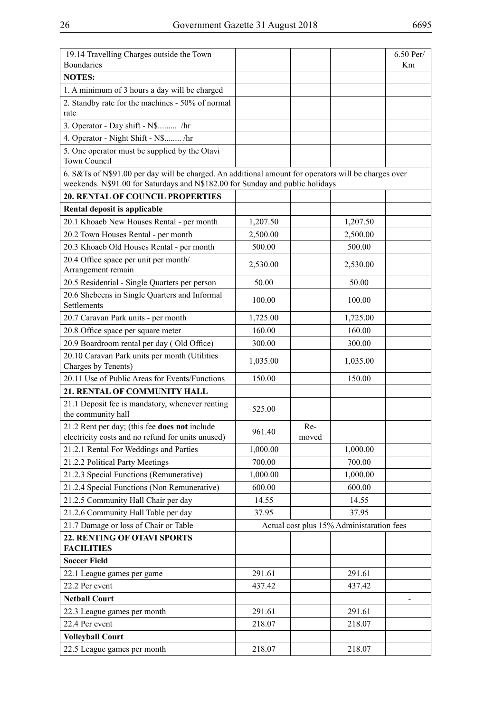| 19.14 Travelling Charges outside the Town<br>Boundaries                                                                                                                               |          |              |                                           | 6.50 Per/<br>Km |
|---------------------------------------------------------------------------------------------------------------------------------------------------------------------------------------|----------|--------------|-------------------------------------------|-----------------|
| <b>NOTES:</b>                                                                                                                                                                         |          |              |                                           |                 |
| 1. A minimum of 3 hours a day will be charged                                                                                                                                         |          |              |                                           |                 |
| 2. Standby rate for the machines - 50% of normal<br>rate                                                                                                                              |          |              |                                           |                 |
| 3. Operator - Day shift - N\$ /hr                                                                                                                                                     |          |              |                                           |                 |
| 4. Operator - Night Shift - N\$ /hr                                                                                                                                                   |          |              |                                           |                 |
| 5. One operator must be supplied by the Otavi<br>Town Council                                                                                                                         |          |              |                                           |                 |
| 6. S&Ts of N\$91.00 per day will be charged. An additional amount for operators will be charges over<br>weekends. N\$91.00 for Saturdays and N\$182.00 for Sunday and public holidays |          |              |                                           |                 |
| <b>20. RENTAL OF COUNCIL PROPERTIES</b>                                                                                                                                               |          |              |                                           |                 |
| Rental deposit is applicable                                                                                                                                                          |          |              |                                           |                 |
| 20.1 Khoaeb New Houses Rental - per month                                                                                                                                             | 1,207.50 |              | 1,207.50                                  |                 |
| 20.2 Town Houses Rental - per month                                                                                                                                                   | 2,500.00 |              | 2,500.00                                  |                 |
| 20.3 Khoaeb Old Houses Rental - per month                                                                                                                                             | 500.00   |              | 500.00                                    |                 |
| 20.4 Office space per unit per month/<br>Arrangement remain                                                                                                                           | 2,530.00 |              | 2,530.00                                  |                 |
| 20.5 Residential - Single Quarters per person                                                                                                                                         | 50.00    |              | 50.00                                     |                 |
| 20.6 Shebeens in Single Quarters and Informal<br>Settlements                                                                                                                          | 100.00   |              | 100.00                                    |                 |
| 20.7 Caravan Park units - per month                                                                                                                                                   | 1,725.00 |              | 1,725.00                                  |                 |
| 20.8 Office space per square meter                                                                                                                                                    | 160.00   |              | 160.00                                    |                 |
| 20.9 Boardroom rental per day (Old Office)                                                                                                                                            | 300.00   |              | 300.00                                    |                 |
| 20.10 Caravan Park units per month (Utilities<br>Charges by Tenents)                                                                                                                  | 1,035.00 |              | 1,035.00                                  |                 |
| 20.11 Use of Public Areas for Events/Functions                                                                                                                                        | 150.00   |              | 150.00                                    |                 |
| 21. RENTAL OF COMMUNITY HALL                                                                                                                                                          |          |              |                                           |                 |
| 21.1 Deposit fee is mandatory, whenever renting                                                                                                                                       |          |              |                                           |                 |
| the community hall                                                                                                                                                                    | 525.00   |              |                                           |                 |
| 21.2 Rent per day; (this fee does not include<br>electricity costs and no refund for units unused)                                                                                    | 961.40   | Re-<br>moved |                                           |                 |
| 21.2.1 Rental For Weddings and Parties                                                                                                                                                | 1,000.00 |              | 1,000.00                                  |                 |
| 21.2.2 Political Party Meetings                                                                                                                                                       | 700.00   |              | 700.00                                    |                 |
| 21.2.3 Special Functions (Remunerative)                                                                                                                                               | 1,000.00 |              | 1,000.00                                  |                 |
| 21.2.4 Special Functions (Non Remunerative)                                                                                                                                           | 600.00   |              | 600.00                                    |                 |
| 21.2.5 Community Hall Chair per day                                                                                                                                                   | 14.55    |              | 14.55                                     |                 |
| 21.2.6 Community Hall Table per day                                                                                                                                                   | 37.95    |              | 37.95                                     |                 |
| 21.7 Damage or loss of Chair or Table                                                                                                                                                 |          |              | Actual cost plus 15% Administaration fees |                 |
| 22. RENTING OF OTAVI SPORTS<br><b>FACILITIES</b>                                                                                                                                      |          |              |                                           |                 |
| <b>Soccer Field</b>                                                                                                                                                                   |          |              |                                           |                 |
| 22.1 League games per game                                                                                                                                                            | 291.61   |              | 291.61                                    |                 |
| 22.2 Per event                                                                                                                                                                        | 437.42   |              | 437.42                                    |                 |
| <b>Netball Court</b>                                                                                                                                                                  |          |              |                                           |                 |
| 22.3 League games per month                                                                                                                                                           | 291.61   |              | 291.61                                    |                 |
| 22.4 Per event                                                                                                                                                                        | 218.07   |              | 218.07                                    |                 |
| <b>Volleyball Court</b>                                                                                                                                                               |          |              |                                           |                 |
| 22.5 League games per month                                                                                                                                                           | 218.07   |              | 218.07                                    |                 |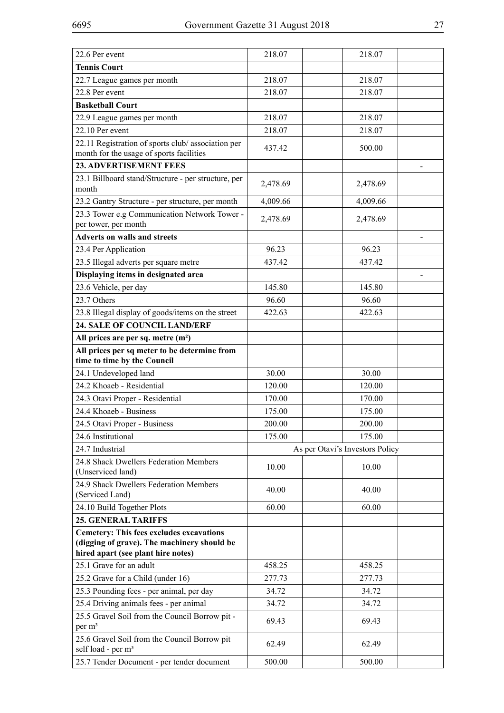| 218.07   | 218.07                                                                                 |
|----------|----------------------------------------------------------------------------------------|
|          |                                                                                        |
| 218.07   | 218.07                                                                                 |
| 218.07   | 218.07                                                                                 |
|          |                                                                                        |
| 218.07   | 218.07                                                                                 |
| 218.07   | 218.07                                                                                 |
|          |                                                                                        |
|          | 500.00                                                                                 |
|          |                                                                                        |
| 2,478.69 | 2,478.69                                                                               |
| 4,009.66 | 4,009.66                                                                               |
|          |                                                                                        |
|          | 2,478.69                                                                               |
|          |                                                                                        |
| 96.23    | 96.23                                                                                  |
| 437.42   | 437.42                                                                                 |
|          |                                                                                        |
| 145.80   | 145.80                                                                                 |
| 96.60    | 96.60                                                                                  |
| 422.63   | 422.63                                                                                 |
|          |                                                                                        |
|          |                                                                                        |
|          |                                                                                        |
|          | 30.00                                                                                  |
|          | 120.00                                                                                 |
|          | 170.00                                                                                 |
|          | 175.00                                                                                 |
|          |                                                                                        |
|          | 200.00                                                                                 |
|          | 175.00                                                                                 |
|          | As per Otavi's Investors Policy                                                        |
| 10.00    | 10.00                                                                                  |
|          |                                                                                        |
| 40.00    | 40.00                                                                                  |
| 60.00    | 60.00                                                                                  |
|          |                                                                                        |
|          |                                                                                        |
| 458.25   | 458.25                                                                                 |
| 277.73   | 277.73                                                                                 |
| 34.72    | 34.72                                                                                  |
| 34.72    | 34.72                                                                                  |
|          | 69.43                                                                                  |
|          |                                                                                        |
| 62.49    | 62.49                                                                                  |
| 500.00   | 500.00                                                                                 |
|          | 437.42<br>2,478.69<br>30.00<br>120.00<br>170.00<br>175.00<br>200.00<br>175.00<br>69.43 |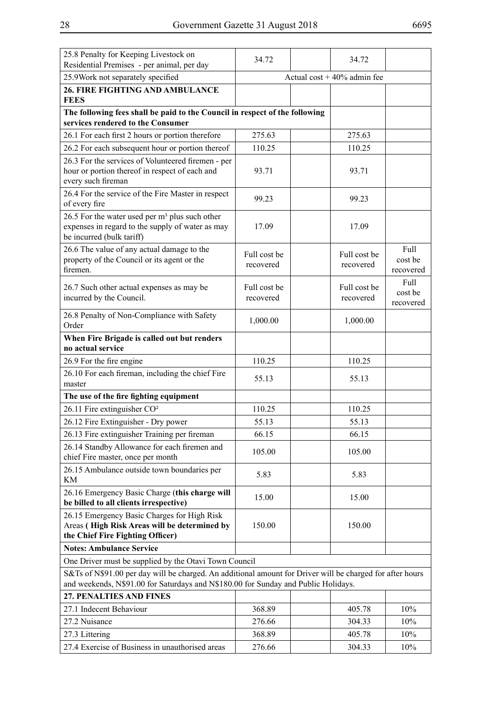| 25.8 Penalty for Keeping Livestock on<br>Residential Premises - per animal, per day                                                                                                             | 34.72                         |  | 34.72        |                      |  |  |
|-------------------------------------------------------------------------------------------------------------------------------------------------------------------------------------------------|-------------------------------|--|--------------|----------------------|--|--|
| 25.9Work not separately specified                                                                                                                                                               | Actual cost $+40\%$ admin fee |  |              |                      |  |  |
| <b>26. FIRE FIGHTING AND AMBULANCE</b>                                                                                                                                                          |                               |  |              |                      |  |  |
| <b>FEES</b>                                                                                                                                                                                     |                               |  |              |                      |  |  |
| The following fees shall be paid to the Council in respect of the following<br>services rendered to the Consumer                                                                                |                               |  |              |                      |  |  |
| 26.1 For each first 2 hours or portion therefore                                                                                                                                                | 275.63                        |  | 275.63       |                      |  |  |
| 26.2 For each subsequent hour or portion thereof                                                                                                                                                | 110.25                        |  | 110.25       |                      |  |  |
| 26.3 For the services of Volunteered firemen - per                                                                                                                                              |                               |  |              |                      |  |  |
| hour or portion thereof in respect of each and                                                                                                                                                  | 93.71                         |  | 93.71        |                      |  |  |
| every such fireman                                                                                                                                                                              |                               |  |              |                      |  |  |
| 26.4 For the service of the Fire Master in respect<br>of every fire                                                                                                                             | 99.23                         |  | 99.23        |                      |  |  |
| 26.5 For the water used per $m3$ plus such other<br>expenses in regard to the supply of water as may<br>be incurred (bulk tariff)                                                               | 17.09                         |  | 17.09        |                      |  |  |
| 26.6 The value of any actual damage to the                                                                                                                                                      | Full cost be                  |  | Full cost be | Full                 |  |  |
| property of the Council or its agent or the                                                                                                                                                     | recovered                     |  | recovered    | cost be              |  |  |
| firemen.                                                                                                                                                                                        |                               |  |              | recovered            |  |  |
| 26.7 Such other actual expenses as may be                                                                                                                                                       | Full cost be                  |  | Full cost be | Full                 |  |  |
| incurred by the Council.                                                                                                                                                                        | recovered                     |  | recovered    | cost be<br>recovered |  |  |
| 26.8 Penalty of Non-Compliance with Safety<br>Order                                                                                                                                             | 1,000.00                      |  | 1,000.00     |                      |  |  |
| When Fire Brigade is called out but renders                                                                                                                                                     |                               |  |              |                      |  |  |
| no actual service                                                                                                                                                                               |                               |  |              |                      |  |  |
| 26.9 For the fire engine                                                                                                                                                                        | 110.25                        |  | 110.25       |                      |  |  |
| 26.10 For each fireman, including the chief Fire                                                                                                                                                | 55.13                         |  | 55.13        |                      |  |  |
| master                                                                                                                                                                                          |                               |  |              |                      |  |  |
| The use of the fire fighting equipment                                                                                                                                                          |                               |  |              |                      |  |  |
| 26.11 Fire extinguisher CO <sup>2</sup>                                                                                                                                                         | 110.25                        |  | 110.25       |                      |  |  |
| 26.12 Fire Extinguisher - Dry power                                                                                                                                                             | 55.13                         |  | 55.13        |                      |  |  |
| 26.13 Fire extinguisher Training per fireman                                                                                                                                                    | 66.15                         |  | 66.15        |                      |  |  |
| 26.14 Standby Allowance for each firemen and<br>chief Fire master, once per month                                                                                                               | 105.00                        |  | 105.00       |                      |  |  |
| 26.15 Ambulance outside town boundaries per<br>KM                                                                                                                                               | 5.83                          |  | 5.83         |                      |  |  |
| 26.16 Emergency Basic Charge (this charge will                                                                                                                                                  | 15.00                         |  | 15.00        |                      |  |  |
| be billed to all clients irrespective)                                                                                                                                                          |                               |  |              |                      |  |  |
| 26.15 Emergency Basic Charges for High Risk                                                                                                                                                     |                               |  |              |                      |  |  |
| Areas (High Risk Areas will be determined by                                                                                                                                                    | 150.00                        |  | 150.00       |                      |  |  |
| the Chief Fire Fighting Officer)                                                                                                                                                                |                               |  |              |                      |  |  |
| <b>Notes: Ambulance Service</b>                                                                                                                                                                 |                               |  |              |                      |  |  |
| One Driver must be supplied by the Otavi Town Council                                                                                                                                           |                               |  |              |                      |  |  |
| S&Ts of N\$91.00 per day will be charged. An additional amount for Driver will be charged for after hours<br>and weekends, N\$91.00 for Saturdays and N\$180.00 for Sunday and Public Holidays. |                               |  |              |                      |  |  |
| 27. PENALTIES AND FINES                                                                                                                                                                         |                               |  |              |                      |  |  |
| 27.1 Indecent Behaviour                                                                                                                                                                         | 368.89                        |  | 405.78       | 10%                  |  |  |
|                                                                                                                                                                                                 |                               |  |              |                      |  |  |
| 27.2 Nuisance                                                                                                                                                                                   | 276.66                        |  | 304.33       | 10%                  |  |  |
| 27.3 Littering                                                                                                                                                                                  | 368.89                        |  | 405.78       | 10%                  |  |  |
| 27.4 Exercise of Business in unauthorised areas                                                                                                                                                 | 276.66                        |  | 304.33       | 10%                  |  |  |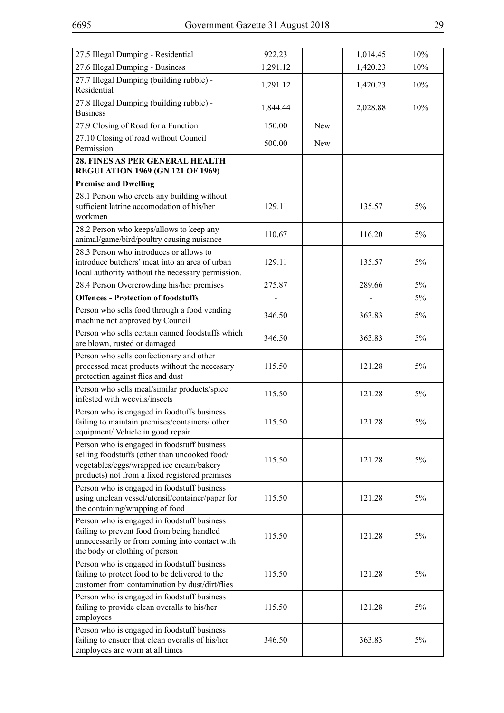| 27.5 Illegal Dumping - Residential                                                                                                                                                         | 922.23   |            | 1,014.45 | 10%   |
|--------------------------------------------------------------------------------------------------------------------------------------------------------------------------------------------|----------|------------|----------|-------|
| 27.6 Illegal Dumping - Business                                                                                                                                                            | 1,291.12 |            | 1,420.23 | 10%   |
| 27.7 Illegal Dumping (building rubble) -<br>Residential                                                                                                                                    | 1,291.12 |            | 1,420.23 | 10%   |
| 27.8 Illegal Dumping (building rubble) -<br><b>Business</b>                                                                                                                                | 1,844.44 |            | 2,028.88 | 10%   |
| 27.9 Closing of Road for a Function                                                                                                                                                        | 150.00   | New        |          |       |
| 27.10 Closing of road without Council<br>Permission                                                                                                                                        | 500.00   | <b>New</b> |          |       |
| 28. FINES AS PER GENERAL HEALTH<br><b>REGULATION 1969 (GN 121 OF 1969)</b>                                                                                                                 |          |            |          |       |
| <b>Premise and Dwelling</b>                                                                                                                                                                |          |            |          |       |
| 28.1 Person who erects any building without<br>sufficient latrine accomodation of his/her<br>workmen                                                                                       | 129.11   |            | 135.57   | 5%    |
| 28.2 Person who keeps/allows to keep any<br>animal/game/bird/poultry causing nuisance                                                                                                      | 110.67   |            | 116.20   | 5%    |
| 28.3 Person who introduces or allows to<br>introduce butchers' meat into an area of urban<br>local authority without the necessary permission.                                             | 129.11   |            | 135.57   | 5%    |
| 28.4 Person Overcrowding his/her premises                                                                                                                                                  | 275.87   |            | 289.66   | $5\%$ |
| <b>Offences - Protection of foodstuffs</b>                                                                                                                                                 |          |            |          | $5\%$ |
| Person who sells food through a food vending<br>machine not approved by Council                                                                                                            | 346.50   |            | 363.83   | 5%    |
| Person who sells certain canned foodstuffs which<br>are blown, rusted or damaged                                                                                                           | 346.50   |            | 363.83   | 5%    |
| Person who sells confectionary and other<br>processed meat products without the necessary<br>protection against flies and dust                                                             | 115.50   |            | 121.28   | 5%    |
| Person who sells meal/similar products/spice<br>infested with weevils/insects                                                                                                              | 115.50   |            | 121.28   | 5%    |
| Person who is engaged in foodtuffs business<br>failing to maintain premises/containers/ other<br>equipment/ Vehicle in good repair                                                         | 115.50   |            | 121.28   | 5%    |
| Person who is engaged in foodstuff business<br>selling foodstuffs (other than uncooked food/<br>vegetables/eggs/wrapped ice cream/bakery<br>products) not from a fixed registered premises | 115.50   |            | 121.28   | 5%    |
| Person who is engaged in foodstuff business<br>using unclean vessel/utensil/container/paper for<br>the containing/wrapping of food                                                         | 115.50   |            | 121.28   | 5%    |
| Person who is engaged in foodstuff business<br>failing to prevent food from being handled<br>unnecessarily or from coming into contact with<br>the body or clothing of person              | 115.50   |            | 121.28   | 5%    |
| Person who is engaged in foodstuff business<br>failing to protect food to be delivered to the<br>customer from contamination by dust/dirt/flies                                            | 115.50   |            | 121.28   | 5%    |
| Person who is engaged in foodstuff business<br>failing to provide clean overalls to his/her<br>employees                                                                                   | 115.50   |            | 121.28   | 5%    |
| Person who is engaged in foodstuff business<br>failing to ensuer that clean overalls of his/her<br>employees are worn at all times                                                         | 346.50   |            | 363.83   | 5%    |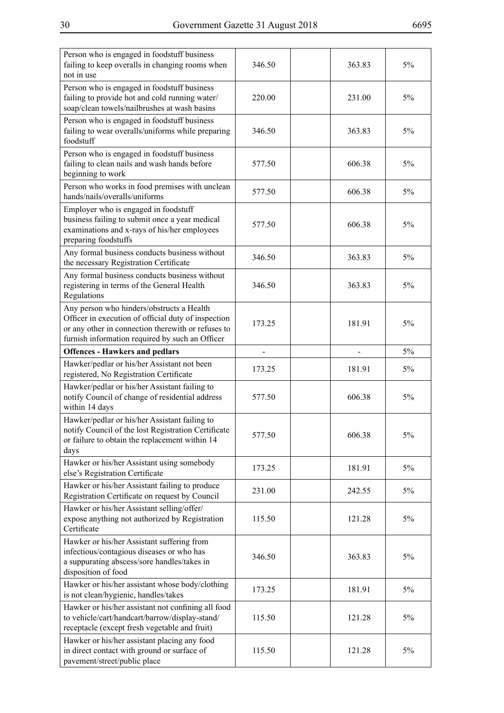| Person who is engaged in foodstuff business<br>failing to keep overalls in changing rooms when<br>not in use                                                                                              | 346.50 | 363.83 | 5% |
|-----------------------------------------------------------------------------------------------------------------------------------------------------------------------------------------------------------|--------|--------|----|
| Person who is engaged in foodstuff business<br>failing to provide hot and cold running water/<br>soap/clean towels/nailbrushes at wash basins                                                             | 220.00 | 231.00 | 5% |
| Person who is engaged in foodstuff business<br>failing to wear overalls/uniforms while preparing<br>foodstuff                                                                                             | 346.50 | 363.83 | 5% |
| Person who is engaged in foodstuff business<br>failing to clean nails and wash hands before<br>beginning to work                                                                                          | 577.50 | 606.38 | 5% |
| Person who works in food premises with unclean<br>hands/nails/overalls/uniforms                                                                                                                           | 577.50 | 606.38 | 5% |
| Employer who is engaged in foodstuff<br>business failing to submit once a year medical<br>examinations and x-rays of his/her employees<br>preparing foodstuffs                                            | 577.50 | 606.38 | 5% |
| Any formal business conducts business without<br>the necessary Registration Certificate                                                                                                                   | 346.50 | 363.83 | 5% |
| Any formal business conducts business without<br>registering in terms of the General Health<br>Regulations                                                                                                | 346.50 | 363.83 | 5% |
| Any person who hinders/obstructs a Health<br>Officer in execution of official duty of inspection<br>or any other in connection therewith or refuses to<br>furnish information required by such an Officer | 173.25 | 181.91 | 5% |
| <b>Offences - Hawkers and pedlars</b>                                                                                                                                                                     |        |        | 5% |
| Hawker/pedlar or his/her Assistant not been<br>registered, No Registration Certificate                                                                                                                    | 173.25 | 181.91 | 5% |
| Hawker/pedlar or his/her Assistant failing to<br>notify Council of change of residential address<br>within 14 days                                                                                        | 577.50 | 606.38 | 5% |
| Hawker/pedlar or his/her Assistant failing to<br>notify Council of the lost Registration Certificate<br>or failure to obtain the replacement within 14<br>days                                            | 577.50 | 606.38 | 5% |
| Hawker or his/her Assistant using somebody<br>else's Registration Certificate                                                                                                                             | 173.25 | 181.91 | 5% |
| Hawker or his/her Assistant failing to produce<br>Registration Certificate on request by Council                                                                                                          | 231.00 | 242.55 | 5% |
| Hawker or his/her Assistant selling/offer/<br>expose anything not authorized by Registration<br>Certificate                                                                                               | 115.50 | 121.28 | 5% |
| Hawker or his/her Assistant suffering from<br>infectious/contagious diseases or who has<br>a suppurating abscess/sore handles/takes in<br>disposition of food                                             | 346.50 | 363.83 | 5% |
| Hawker or his/her assistant whose body/clothing<br>is not clean/hygienic, handles/takes                                                                                                                   | 173.25 | 181.91 | 5% |
| Hawker or his/her assistant not confining all food<br>to vehicle/cart/handcart/barrow/display-stand/<br>receptacle (except fresh vegetable and fruit)                                                     | 115.50 | 121.28 | 5% |
| Hawker or his/her assistant placing any food<br>in direct contact with ground or surface of<br>pavement/street/public place                                                                               | 115.50 | 121.28 | 5% |